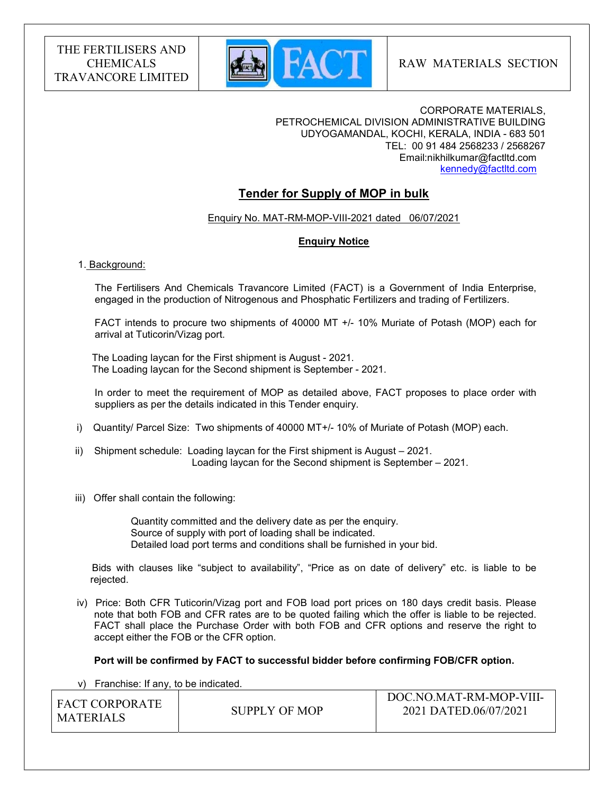

CORPORATE MATERIALS, PETROCHEMICAL DIVISION ADMINISTRATIVE BUILDING UDYOGAMANDAL, KOCHI, KERALA, INDIA - 683 501 TEL: 00 91 484 2568233 / 2568267 Email:nikhilkumar@factltd.com kennedy@factltd.com

# Tender for Supply of MOP in bulk

Enquiry No. MAT-RM-MOP-VIII-2021 dated 06/07/2021

# Enquiry Notice

#### 1. Background:

 The Fertilisers And Chemicals Travancore Limited (FACT) is a Government of India Enterprise, engaged in the production of Nitrogenous and Phosphatic Fertilizers and trading of Fertilizers.

 FACT intends to procure two shipments of 40000 MT +/- 10% Muriate of Potash (MOP) each for arrival at Tuticorin/Vizag port.

 The Loading laycan for the First shipment is August - 2021. The Loading laycan for the Second shipment is September - 2021.

 In order to meet the requirement of MOP as detailed above, FACT proposes to place order with suppliers as per the details indicated in this Tender enquiry.

- i) Quantity/ Parcel Size: Two shipments of 40000 MT+/- 10% of Muriate of Potash (MOP) each.
- ii) Shipment schedule: Loading laycan for the First shipment is August 2021. Loading laycan for the Second shipment is September – 2021.
- iii) Offer shall contain the following:

 Quantity committed and the delivery date as per the enquiry. Source of supply with port of loading shall be indicated. Detailed load port terms and conditions shall be furnished in your bid.

 Bids with clauses like "subject to availability", "Price as on date of delivery" etc. is liable to be rejected.

 iv) Price: Both CFR Tuticorin/Vizag port and FOB load port prices on 180 days credit basis. Please note that both FOB and CFR rates are to be quoted failing which the offer is liable to be rejected. FACT shall place the Purchase Order with both FOB and CFR options and reserve the right to accept either the FOB or the CFR option.

#### Port will be confirmed by FACT to successful bidder before confirming FOB/CFR option.

v) Franchise: If any, to be indicated.

| I FACT CORPORATE |               | DOC.NO.MAT-RM-MOP-VIII- |
|------------------|---------------|-------------------------|
| MATERIALS        | SUPPLY OF MOP | 2021 DATED.06/07/2021   |
|                  |               |                         |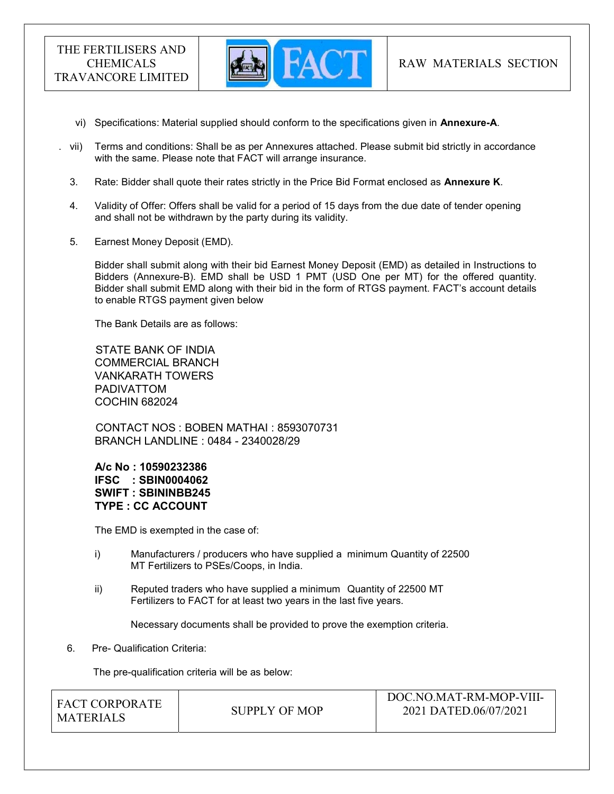

- vi) Specifications: Material supplied should conform to the specifications given in Annexure-A.
- vii) Terms and conditions: Shall be as per Annexures attached. Please submit bid strictly in accordance with the same. Please note that FACT will arrange insurance.
- 3. Rate: Bidder shall quote their rates strictly in the Price Bid Format enclosed as Annexure K.
- 4. Validity of Offer: Offers shall be valid for a period of 15 days from the due date of tender opening and shall not be withdrawn by the party during its validity.
- 5. Earnest Money Deposit (EMD).

Bidder shall submit along with their bid Earnest Money Deposit (EMD) as detailed in Instructions to Bidders (Annexure-B). EMD shall be USD 1 PMT (USD One per MT) for the offered quantity. Bidder shall submit EMD along with their bid in the form of RTGS payment. FACT's account details to enable RTGS payment given below

The Bank Details are as follows:

 STATE BANK OF INDIA COMMERCIAL BRANCH VANKARATH TOWERS PADIVATTOM COCHIN 682024

 CONTACT NOS : BOBEN MATHAI : 8593070731 BRANCH LANDLINE : 0484 - 2340028/29

A/c No : 10590232386 IFSC : SBIN0004062 SWIFT : SBININBB245 TYPE : CC ACCOUNT

The EMD is exempted in the case of:

- i) Manufacturers / producers who have supplied a minimum Quantity of 22500 MT Fertilizers to PSEs/Coops, in India.
- ii) Reputed traders who have supplied a minimum Quantity of 22500 MT Fertilizers to FACT for at least two years in the last five years.

Necessary documents shall be provided to prove the exemption criteria.

6. Pre- Qualification Criteria:

The pre-qualification criteria will be as below:

| I FACT CORPORATE<br>I MATERIALS | SUPPLY OF MOP | DOC.NO.MAT-RM-MOP-VIII-<br>2021 DATED.06/07/2021 |
|---------------------------------|---------------|--------------------------------------------------|
|                                 |               |                                                  |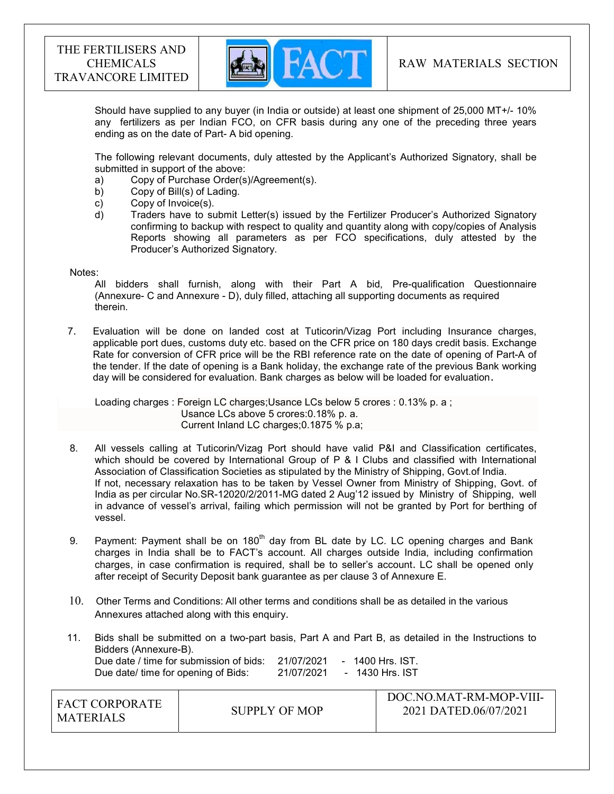

Should have supplied to any buyer (in India or outside) at least one shipment of 25,000 MT+/- 10% any fertilizers as per Indian FCO, on CFR basis during any one of the preceding three years ending as on the date of Part- A bid opening.

The following relevant documents, duly attested by the Applicant's Authorized Signatory, shall be submitted in support of the above:

- a) Copy of Purchase Order(s)/Agreement(s).
- b) Copy of Bill(s) of Lading.
- c) Copy of Invoice(s).
- d) Traders have to submit Letter(s) issued by the Fertilizer Producer's Authorized Signatory confirming to backup with respect to quality and quantity along with copy/copies of Analysis Reports showing all parameters as per FCO specifications, duly attested by the Producer's Authorized Signatory.

#### Notes:

 All bidders shall furnish, along with their Part A bid, Pre-qualification Questionnaire (Annexure- C and Annexure - D), duly filled, attaching all supporting documents as required therein.

7. Evaluation will be done on landed cost at Tuticorin/Vizag Port including Insurance charges, applicable port dues, customs duty etc. based on the CFR price on 180 days credit basis. Exchange Rate for conversion of CFR price will be the RBI reference rate on the date of opening of Part-A of the tender. If the date of opening is a Bank holiday, the exchange rate of the previous Bank working day will be considered for evaluation. Bank charges as below will be loaded for evaluation.

 Loading charges : Foreign LC charges;Usance LCs below 5 crores : 0.13% p. a ; Usance LCs above 5 crores:0.18% p. a. Current Inland LC charges;0.1875 % p.a;

- 8. All vessels calling at Tuticorin/Vizag Port should have valid P&I and Classification certificates, which should be covered by International Group of P & I Clubs and classified with International Association of Classification Societies as stipulated by the Ministry of Shipping, Govt.of India. If not, necessary relaxation has to be taken by Vessel Owner from Ministry of Shipping, Govt. of India as per circular No.SR-12020/2/2011-MG dated 2 Aug'12 issued by Ministry of Shipping, well in advance of vessel's arrival, failing which permission will not be granted by Port for berthing of vessel.
- 9. Payment: Payment shall be on 180<sup>th</sup> day from BL date by LC. LC opening charges and Bank charges in India shall be to FACT's account. All charges outside India, including confirmation charges, in case confirmation is required, shall be to seller's account. LC shall be opened only after receipt of Security Deposit bank guarantee as per clause 3 of Annexure E.
- 10. Other Terms and Conditions: All other terms and conditions shall be as detailed in the various Annexures attached along with this enquiry.
- 11. Bids shall be submitted on a two-part basis, Part A and Part B, as detailed in the Instructions to Bidders (Annexure-B). Due date / time for submission of bids: 21/07/2021 - 1400 Hrs. IST. Due date/ time for opening of Bids: 21/07/2021 - 1430 Hrs. IST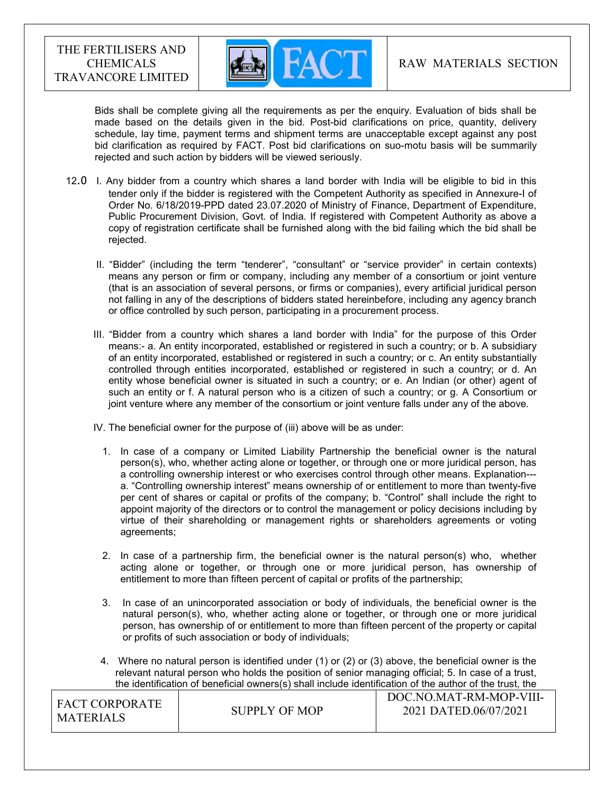

 Bids shall be complete giving all the requirements as per the enquiry. Evaluation of bids shall be made based on the details given in the bid. Post-bid clarifications on price, quantity, delivery schedule, lay time, payment terms and shipment terms are unacceptable except against any post bid clarification as required by FACT. Post bid clarifications on suo-motu basis will be summarily rejected and such action by bidders will be viewed seriously.

- 12.0 I. Any bidder from a country which shares a land border with India will be eligible to bid in this tender only if the bidder is registered with the Competent Authority as specified in Annexure-I of Order No. 6/18/2019-PPD dated 23.07.2020 of Ministry of Finance, Department of Expenditure, Public Procurement Division, Govt. of India. If registered with Competent Authority as above a copy of registration certificate shall be furnished along with the bid failing which the bid shall be rejected.
	- II. "Bidder" (including the term "tenderer", "consultant" or "service provider" in certain contexts) means any person or firm or company, including any member of a consortium or joint venture (that is an association of several persons, or firms or companies), every artificial juridical person not falling in any of the descriptions of bidders stated hereinbefore, including any agency branch or office controlled by such person, participating in a procurement process.
	- III. "Bidder from a country which shares a land border with India" for the purpose of this Order means:- a. An entity incorporated, established or registered in such a country; or b. A subsidiary of an entity incorporated, established or registered in such a country; or c. An entity substantially controlled through entities incorporated, established or registered in such a country; or d. An entity whose beneficial owner is situated in such a country; or e. An Indian (or other) agent of such an entity or f. A natural person who is a citizen of such a country; or g. A Consortium or joint venture where any member of the consortium or joint venture falls under any of the above.

IV. The beneficial owner for the purpose of (iii) above will be as under:

- 1. In case of a company or Limited Liability Partnership the beneficial owner is the natural person(s), who, whether acting alone or together, or through one or more juridical person, has a controlling ownership interest or who exercises control through other means. Explanation-- a. "Controlling ownership interest" means ownership of or entitlement to more than twenty-five per cent of shares or capital or profits of the company; b. "Control" shall include the right to appoint majority of the directors or to control the management or policy decisions including by virtue of their shareholding or management rights or shareholders agreements or voting agreements;
- 2. In case of a partnership firm, the beneficial owner is the natural person(s) who, whether acting alone or together, or through one or more juridical person, has ownership of entitlement to more than fifteen percent of capital or profits of the partnership;
- 3. In case of an unincorporated association or body of individuals, the beneficial owner is the natural person(s), who, whether acting alone or together, or through one or more juridical person, has ownership of or entitlement to more than fifteen percent of the property or capital or profits of such association or body of individuals;
- 4. Where no natural person is identified under (1) or (2) or (3) above, the beneficial owner is the relevant natural person who holds the position of senior managing official; 5. In case of a trust, the identification of beneficial owners(s) shall include identification of the author of the trust, the

| I FACT CORPORATE |               | DOC.NO.MAT-RM-MOP-VIII- |
|------------------|---------------|-------------------------|
| I MATERIALS      | SUPPLY OF MOP | 2021 DATED.06/07/2021   |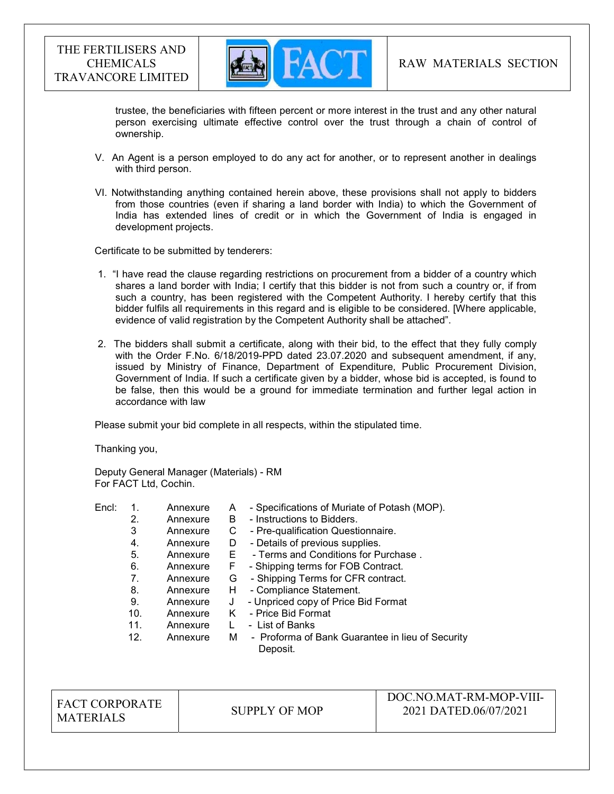

trustee, the beneficiaries with fifteen percent or more interest in the trust and any other natural person exercising ultimate effective control over the trust through a chain of control of ownership.

- V. An Agent is a person employed to do any act for another, or to represent another in dealings with third person.
- VI. Notwithstanding anything contained herein above, these provisions shall not apply to bidders from those countries (even if sharing a land border with India) to which the Government of India has extended lines of credit or in which the Government of India is engaged in development projects.

Certificate to be submitted by tenderers:

- 1. "I have read the clause regarding restrictions on procurement from a bidder of a country which shares a land border with India; I certify that this bidder is not from such a country or, if from such a country, has been registered with the Competent Authority. I hereby certify that this bidder fulfils all requirements in this regard and is eligible to be considered. [Where applicable, evidence of valid registration by the Competent Authority shall be attached".
- 2. The bidders shall submit a certificate, along with their bid, to the effect that they fully comply with the Order F.No. 6/18/2019-PPD dated 23.07.2020 and subsequent amendment, if any, issued by Ministry of Finance, Department of Expenditure, Public Procurement Division, Government of India. If such a certificate given by a bidder, whose bid is accepted, is found to be false, then this would be a ground for immediate termination and further legal action in accordance with law

Please submit your bid complete in all respects, within the stipulated time.

Thanking you,

Deputy General Manager (Materials) - RM For FACT Ltd, Cochin.

Encl: 1. Annexure A - Specifications of Muriate of Potash (MOP). 2. Annexure B - Instructions to Bidders. 3 Annexure C - Pre-qualification Questionnaire. 4. Annexure D - Details of previous supplies. 5. Annexure E - Terms and Conditions for Purchase . 6. Annexure F - Shipping terms for FOB Contract. 7. Annexure G - Shipping Terms for CFR contract. 8. Annexure H - Compliance Statement. 9. Annexure J - Unpriced copy of Price Bid Format 10. Annexure K - Price Bid Format 11. Annexure L - List of Banks 12. Annexure M - Proforma of Bank Guarantee in lieu of Security Deposit.

FACT CORPORATE MATERIALS SUPPLY OF MOP

# DOC.NO.MAT-RM-MOP-VIII-2021 DATED.06/07/2021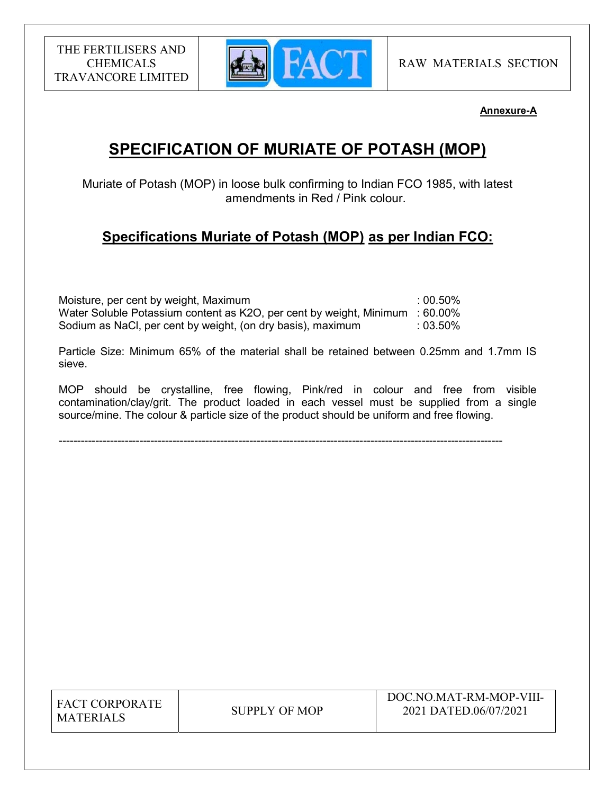

# Annexure-A

# SPECIFICATION OF MURIATE OF POTASH (MOP)

Muriate of Potash (MOP) in loose bulk confirming to Indian FCO 1985, with latest amendments in Red / Pink colour.

# Specifications Muriate of Potash (MOP) as per Indian FCO:

| Moisture, per cent by weight, Maximum                                        | $:00.50\%$ |
|------------------------------------------------------------------------------|------------|
| Water Soluble Potassium content as K2O, per cent by weight, Minimum : 60.00% |            |
| Sodium as NaCl, per cent by weight, (on dry basis), maximum                  | $:03.50\%$ |

Particle Size: Minimum 65% of the material shall be retained between 0.25mm and 1.7mm IS sieve.

MOP should be crystalline, free flowing, Pink/red in colour and free from visible contamination/clay/grit. The product loaded in each vessel must be supplied from a single source/mine. The colour & particle size of the product should be uniform and free flowing.

-------------------------------------------------------------------------------------------------------------------------

| <b>FACT CORPORATE</b> |
|-----------------------|
| <b>MATERIALS</b>      |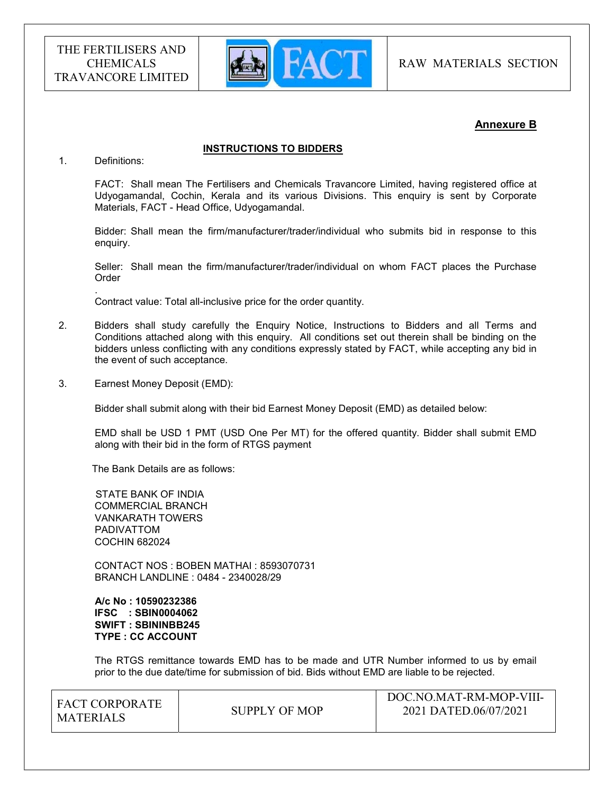

# Annexure B

## INSTRUCTIONS TO BIDDERS

1. Definitions:

.

FACT: Shall mean The Fertilisers and Chemicals Travancore Limited, having registered office at Udyogamandal, Cochin, Kerala and its various Divisions. This enquiry is sent by Corporate Materials, FACT - Head Office, Udyogamandal.

Bidder: Shall mean the firm/manufacturer/trader/individual who submits bid in response to this enquiry.

Seller: Shall mean the firm/manufacturer/trader/individual on whom FACT places the Purchase Order

Contract value: Total all-inclusive price for the order quantity.

- 2. Bidders shall study carefully the Enquiry Notice, Instructions to Bidders and all Terms and Conditions attached along with this enquiry. All conditions set out therein shall be binding on the bidders unless conflicting with any conditions expressly stated by FACT, while accepting any bid in the event of such acceptance.
- 3. Earnest Money Deposit (EMD):

Bidder shall submit along with their bid Earnest Money Deposit (EMD) as detailed below:

EMD shall be USD 1 PMT (USD One Per MT) for the offered quantity. Bidder shall submit EMD along with their bid in the form of RTGS payment

The Bank Details are as follows:

 STATE BANK OF INDIA COMMERCIAL BRANCH VANKARATH TOWERS PADIVATTOM COCHIN 682024

 CONTACT NOS : BOBEN MATHAI : 8593070731 BRANCH LANDLINE : 0484 - 2340028/29

 A/c No : 10590232386 IFSC : SBIN0004062 SWIFT : SBININBB245 TYPE : CC ACCOUNT

The RTGS remittance towards EMD has to be made and UTR Number informed to us by email prior to the due date/time for submission of bid. Bids without EMD are liable to be rejected.

| I FACT CORPORATE |               | DOC.NO.MAT-RM-MOP-VIII- |
|------------------|---------------|-------------------------|
| MATERIALS        | SUPPLY OF MOP | 2021 DATED.06/07/2021   |
|                  |               |                         |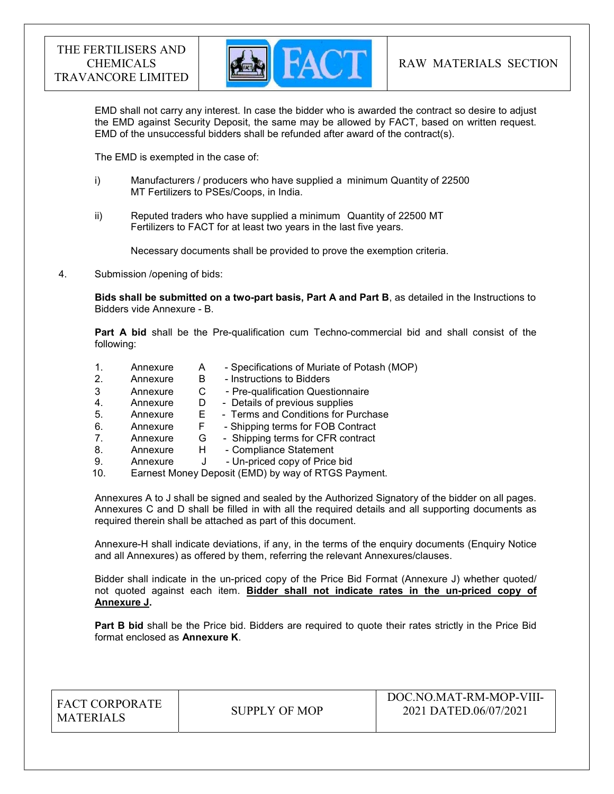

EMD shall not carry any interest. In case the bidder who is awarded the contract so desire to adjust the EMD against Security Deposit, the same may be allowed by FACT, based on written request. EMD of the unsuccessful bidders shall be refunded after award of the contract(s).

The EMD is exempted in the case of:

- i) Manufacturers / producers who have supplied a minimum Quantity of 22500 MT Fertilizers to PSEs/Coops, in India.
- ii) Reputed traders who have supplied a minimum Quantity of 22500 MT Fertilizers to FACT for at least two years in the last five years.

Necessary documents shall be provided to prove the exemption criteria.

4. Submission /opening of bids:

Bids shall be submitted on a two-part basis, Part A and Part B, as detailed in the Instructions to Bidders vide Annexure - B.

Part A bid shall be the Pre-qualification cum Techno-commercial bid and shall consist of the following:

- 1. Annexure A Specifications of Muriate of Potash (MOP)
- 2. Annexure B Instructions to Bidders
- 3 Annexure C Pre-qualification Questionnaire
- 4. Annexure D Details of previous supplies<br>5. Annexure E Terms and Conditions for Pu
- 5. Annexure E Terms and Conditions for Purchase
- 6. Annexure F Shipping terms for FOB Contract
- 7. Annexure G Shipping terms for CFR contract
- 8. Annexure H Compliance Statement
- 9. Annexure J Un-priced copy of Price bid
- 10. Earnest Money Deposit (EMD) by way of RTGS Payment.

Annexures A to J shall be signed and sealed by the Authorized Signatory of the bidder on all pages. Annexures C and D shall be filled in with all the required details and all supporting documents as required therein shall be attached as part of this document.

Annexure-H shall indicate deviations, if any, in the terms of the enquiry documents (Enquiry Notice and all Annexures) as offered by them, referring the relevant Annexures/clauses.

Bidder shall indicate in the un-priced copy of the Price Bid Format (Annexure J) whether quoted/ not quoted against each item. Bidder shall not indicate rates in the un-priced copy of Annexure J.

Part B bid shall be the Price bid. Bidders are required to quote their rates strictly in the Price Bid format enclosed as Annexure K.

| <b>FACT CORPORATE</b> |
|-----------------------|
| <b>MATERIALS</b>      |

 $\mathbb{E}$  SUPPLY OF MOP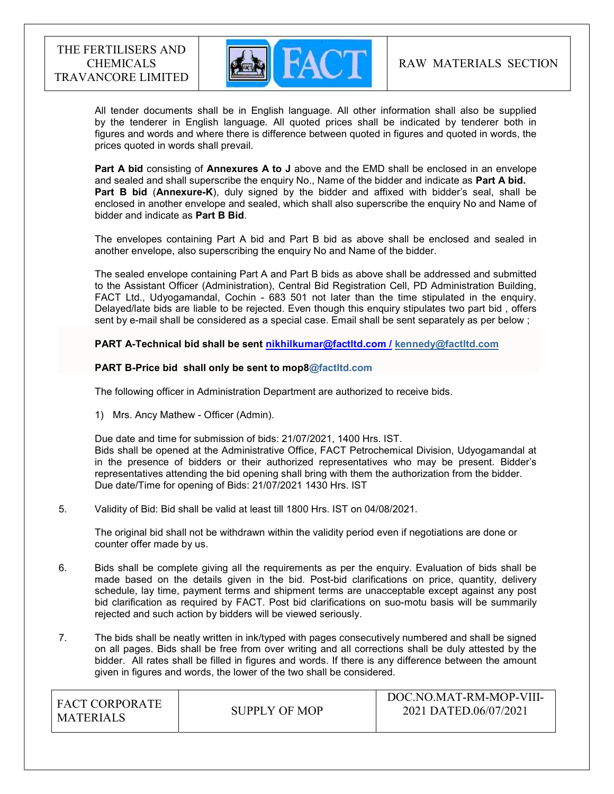

 All tender documents shall be in English language. All other information shall also be supplied by the tenderer in English language. All quoted prices shall be indicated by tenderer both in figures and words and where there is difference between quoted in figures and quoted in words, the prices quoted in words shall prevail.

Part A bid consisting of Annexures A to J above and the EMD shall be enclosed in an envelope and sealed and shall superscribe the enquiry No., Name of the bidder and indicate as Part A bid. Part B bid (Annexure-K), duly signed by the bidder and affixed with bidder's seal, shall be enclosed in another envelope and sealed, which shall also superscribe the enquiry No and Name of bidder and indicate as Part B Bid.

The envelopes containing Part A bid and Part B bid as above shall be enclosed and sealed in another envelope, also superscribing the enquiry No and Name of the bidder.

The sealed envelope containing Part A and Part B bids as above shall be addressed and submitted to the Assistant Officer (Administration), Central Bid Registration Cell, PD Administration Building, FACT Ltd., Udyogamandal, Cochin - 683 501 not later than the time stipulated in the enquiry. Delayed/late bids are liable to be rejected. Even though this enquiry stipulates two part bid , offers sent by e-mail shall be considered as a special case. Email shall be sent separately as per below ;

PART A-Technical bid shall be sent nikhilkumar@factltd.com / kennedy@factltd.com

## PART B-Price bid shall only be sent to mop8@factltd.com

The following officer in Administration Department are authorized to receive bids.

1) Mrs. Ancy Mathew - Officer (Admin).

 Due date and time for submission of bids: 21/07/2021, 1400 Hrs. IST. Bids shall be opened at the Administrative Office, FACT Petrochemical Division, Udyogamandal at in the presence of bidders or their authorized representatives who may be present. Bidder's representatives attending the bid opening shall bring with them the authorization from the bidder. Due date/Time for opening of Bids: 21/07/2021 1430 Hrs. IST

#### 5. Validity of Bid: Bid shall be valid at least till 1800 Hrs. IST on 04/08/2021.

The original bid shall not be withdrawn within the validity period even if negotiations are done or counter offer made by us.

- 6. Bids shall be complete giving all the requirements as per the enquiry. Evaluation of bids shall be made based on the details given in the bid. Post-bid clarifications on price, quantity, delivery schedule, lay time, payment terms and shipment terms are unacceptable except against any post bid clarification as required by FACT. Post bid clarifications on suo-motu basis will be summarily rejected and such action by bidders will be viewed seriously.
- 7. The bids shall be neatly written in ink/typed with pages consecutively numbered and shall be signed on all pages. Bids shall be free from over writing and all corrections shall be duly attested by the bidder. All rates shall be filled in figures and words. If there is any difference between the amount given in figures and words, the lower of the two shall be considered.

| <b>FACT CORPORATE</b><br>MATERIALS | SUPPLY OF MOP | DOC.NO.MAT-RM-MOP-VIII-<br>2021 DATED.06/07/2021 |
|------------------------------------|---------------|--------------------------------------------------|
|------------------------------------|---------------|--------------------------------------------------|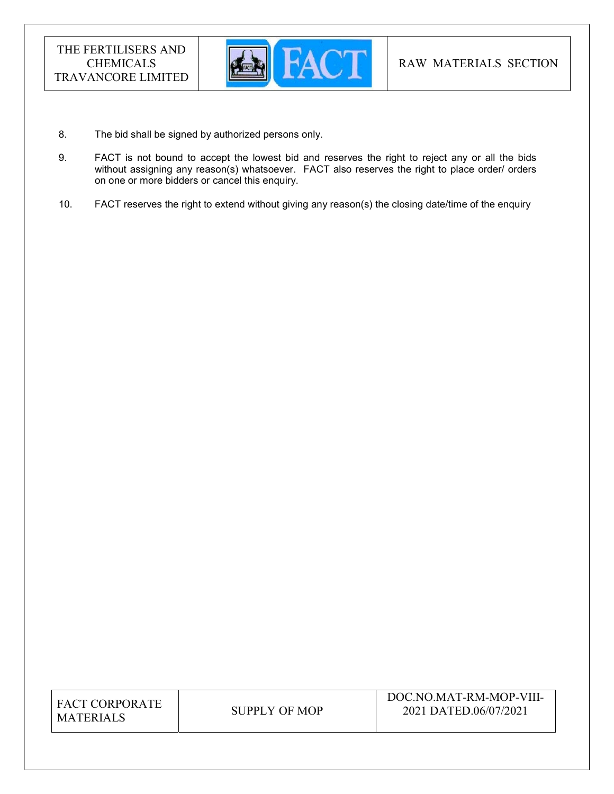

- 8. The bid shall be signed by authorized persons only.
- 9. FACT is not bound to accept the lowest bid and reserves the right to reject any or all the bids without assigning any reason(s) whatsoever. FACT also reserves the right to place order/ orders on one or more bidders or cancel this enquiry.
- 10. FACT reserves the right to extend without giving any reason(s) the closing date/time of the enquiry

| <b>FACT CORPORATE</b> |
|-----------------------|
| <b>MATERIALS</b>      |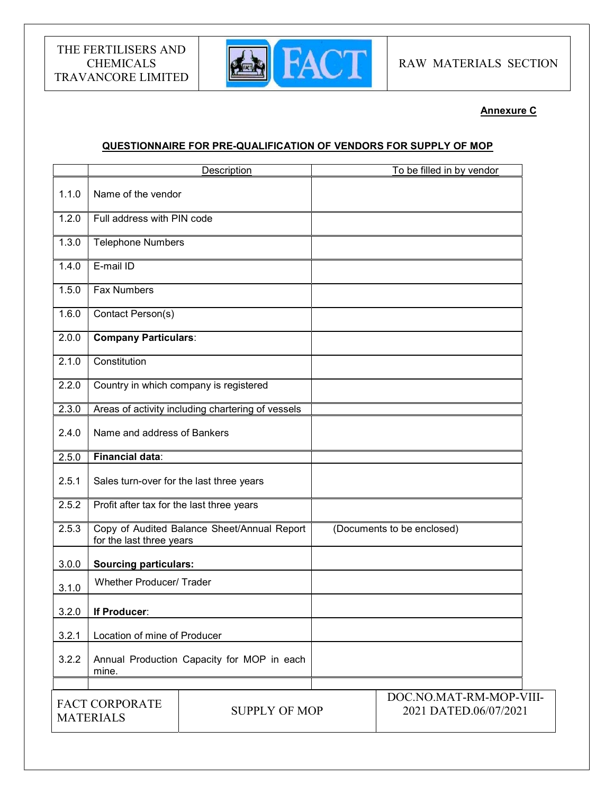

# Annexure C

# QUESTIONNAIRE FOR PRE-QUALIFICATION OF VENDORS FOR SUPPLY OF MOP

|       |                                                                         | Description          | To be filled in by vendor                        |
|-------|-------------------------------------------------------------------------|----------------------|--------------------------------------------------|
| 1.1.0 | Name of the vendor                                                      |                      |                                                  |
| 1.2.0 | Full address with PIN code                                              |                      |                                                  |
| 1.3.0 | <b>Telephone Numbers</b>                                                |                      |                                                  |
| 1.4.0 | E-mail ID                                                               |                      |                                                  |
| 1.5.0 | <b>Fax Numbers</b>                                                      |                      |                                                  |
| 1.6.0 | Contact Person(s)                                                       |                      |                                                  |
| 2.0.0 | <b>Company Particulars:</b>                                             |                      |                                                  |
| 2.1.0 | Constitution                                                            |                      |                                                  |
| 2.2.0 | Country in which company is registered                                  |                      |                                                  |
| 2.3.0 | Areas of activity including chartering of vessels                       |                      |                                                  |
| 2.4.0 | Name and address of Bankers                                             |                      |                                                  |
| 2.5.0 | Financial data:                                                         |                      |                                                  |
| 2.5.1 | Sales turn-over for the last three years                                |                      |                                                  |
| 2.5.2 | Profit after tax for the last three years                               |                      |                                                  |
| 2.5.3 | Copy of Audited Balance Sheet/Annual Report<br>for the last three years |                      | (Documents to be enclosed)                       |
| 3.0.0 | <b>Sourcing particulars:</b>                                            |                      |                                                  |
| 3.1.0 | <b>Whether Producer/ Trader</b>                                         |                      |                                                  |
| 3.2.0 | If Producer:                                                            |                      |                                                  |
| 3.2.1 | Location of mine of Producer                                            |                      |                                                  |
| 3.2.2 | Annual Production Capacity for MOP in each<br>mine.                     |                      |                                                  |
|       | <b>FACT CORPORATE</b><br><b>MATERIALS</b>                               | <b>SUPPLY OF MOP</b> | DOC.NO.MAT-RM-MOP-VIII-<br>2021 DATED.06/07/2021 |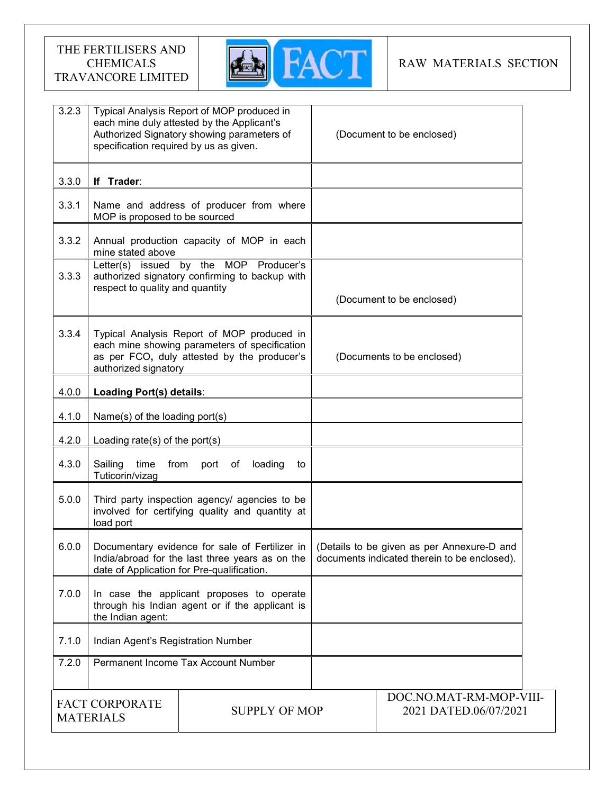

# RAW MATERIALS SECTION

| 3.2.3                                                             | specification required by us as given.                                                                                                                                                       | Typical Analysis Report of MOP produced in<br>each mine duly attested by the Applicant's<br>Authorized Signatory showing parameters of     | (Document to be enclosed)                        |                                              |
|-------------------------------------------------------------------|----------------------------------------------------------------------------------------------------------------------------------------------------------------------------------------------|--------------------------------------------------------------------------------------------------------------------------------------------|--------------------------------------------------|----------------------------------------------|
| 3.3.0                                                             | If Trader:                                                                                                                                                                                   |                                                                                                                                            |                                                  |                                              |
| 3.3.1                                                             | MOP is proposed to be sourced                                                                                                                                                                | Name and address of producer from where                                                                                                    |                                                  |                                              |
| 3.3.2                                                             | mine stated above                                                                                                                                                                            | Annual production capacity of MOP in each                                                                                                  |                                                  |                                              |
| 3.3.3                                                             | respect to quality and quantity                                                                                                                                                              | Letter(s) issued by the MOP Producer's<br>authorized signatory confirming to backup with                                                   | (Document to be enclosed)                        |                                              |
| 3.3.4                                                             | authorized signatory                                                                                                                                                                         | Typical Analysis Report of MOP produced in<br>each mine showing parameters of specification<br>as per FCO, duly attested by the producer's |                                                  | (Documents to be enclosed)                   |
| 4.0.0                                                             | Loading Port(s) details:                                                                                                                                                                     |                                                                                                                                            |                                                  |                                              |
| 4.1.0                                                             | Name(s) of the loading port(s)                                                                                                                                                               |                                                                                                                                            |                                                  |                                              |
| 4.2.0                                                             | Loading rate(s) of the port(s)                                                                                                                                                               |                                                                                                                                            |                                                  |                                              |
| 4.3.0                                                             | Sailing<br>time<br>from<br>Tuticorin/vizag                                                                                                                                                   | port of<br>loading<br>to                                                                                                                   |                                                  |                                              |
| 5.0.0                                                             | load port                                                                                                                                                                                    | Third party inspection agency/ agencies to be<br>involved for certifying quality and quantity at                                           |                                                  |                                              |
| 6.0.0                                                             | Documentary evidence for sale of Fertilizer in   (Details to be given as per Annexure-D and<br>India/abroad for the last three years as on the<br>date of Application for Pre-qualification. |                                                                                                                                            |                                                  | documents indicated therein to be enclosed). |
| 7.0.0                                                             | the Indian agent:                                                                                                                                                                            | In case the applicant proposes to operate<br>through his Indian agent or if the applicant is                                               |                                                  |                                              |
| 7.1.0                                                             | Indian Agent's Registration Number                                                                                                                                                           |                                                                                                                                            |                                                  |                                              |
| 7.2.0                                                             | Permanent Income Tax Account Number                                                                                                                                                          |                                                                                                                                            |                                                  |                                              |
| <b>FACT CORPORATE</b><br><b>SUPPLY OF MOP</b><br><b>MATERIALS</b> |                                                                                                                                                                                              |                                                                                                                                            | DOC.NO.MAT-RM-MOP-VIII-<br>2021 DATED.06/07/2021 |                                              |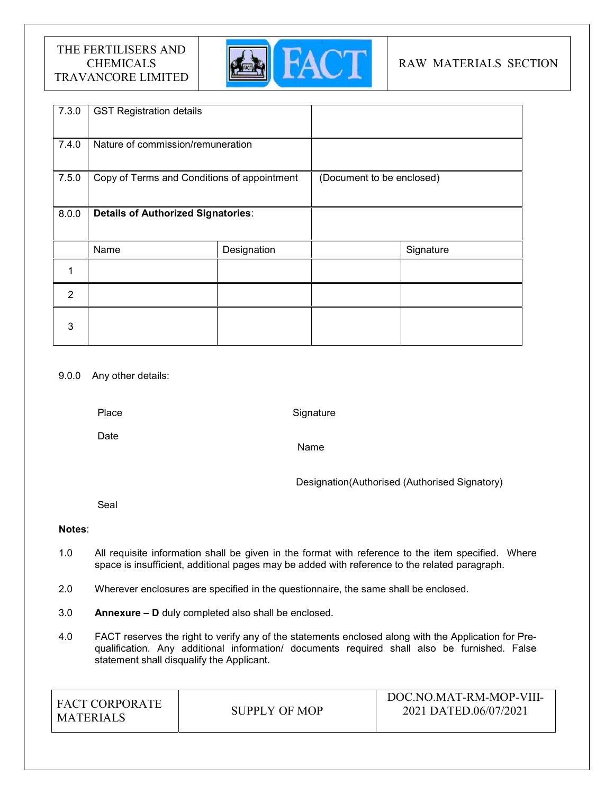

# RAW MATERIALS SECTION

| 7.3.0          | <b>GST Registration details</b>             |             |                           |           |
|----------------|---------------------------------------------|-------------|---------------------------|-----------|
| 7.4.0          | Nature of commission/remuneration           |             |                           |           |
| 7.5.0          | Copy of Terms and Conditions of appointment |             | (Document to be enclosed) |           |
| 8.0.0          | <b>Details of Authorized Signatories:</b>   |             |                           |           |
|                | Name                                        | Designation |                           | Signature |
| 1              |                                             |             |                           |           |
| $\overline{2}$ |                                             |             |                           |           |
| 3              |                                             |             |                           |           |

## 9.0.0 Any other details:

Place

**Signature** 

Date

Name

Designation(Authorised (Authorised Signatory)

Seal

## Notes:

- 1.0 All requisite information shall be given in the format with reference to the item specified. Where space is insufficient, additional pages may be added with reference to the related paragraph.
- 2.0 Wherever enclosures are specified in the questionnaire, the same shall be enclosed.
- 3.0 Annexure D duly completed also shall be enclosed.
- 4.0 FACT reserves the right to verify any of the statements enclosed along with the Application for Prequalification. Any additional information/ documents required shall also be furnished. False statement shall disqualify the Applicant.

| LEACT CORPORATE<br><b>MATERIALS</b> | SUPPLY OF MOP | DOC.NO.MAT-RM-MOP-VIII-<br>2021 DATED.06/07/2021 |
|-------------------------------------|---------------|--------------------------------------------------|
|-------------------------------------|---------------|--------------------------------------------------|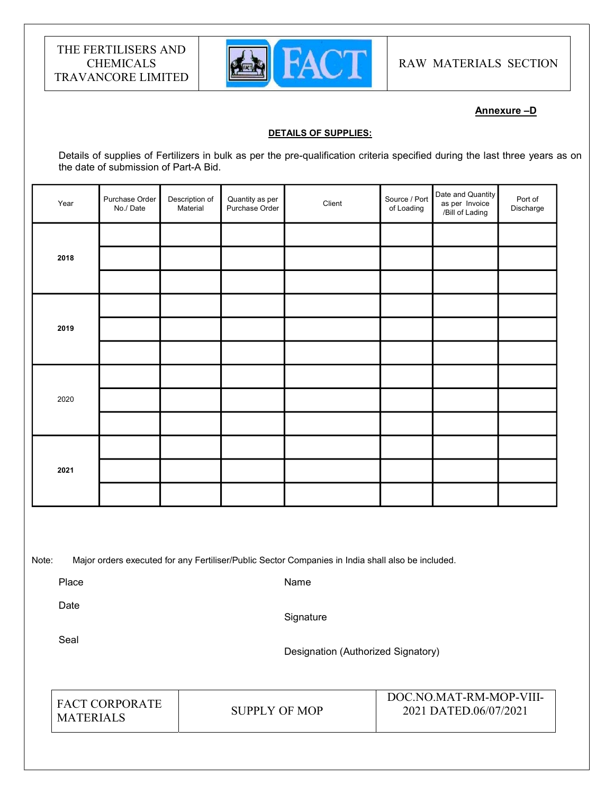

RAW MATERIALS SECTION

# Annexure –D

#### DETAILS OF SUPPLIES:

Details of supplies of Fertilizers in bulk as per the pre-qualification criteria specified during the last three years as on the date of submission of Part-A Bid.

| Year | Purchase Order<br>No./Date | Description of<br>Material | Quantity as per<br>Purchase Order | Client | Source / Port<br>of Loading | Date and Quantity<br>as per Invoice<br>/Bill of Lading | Port of<br>Discharge |  |
|------|----------------------------|----------------------------|-----------------------------------|--------|-----------------------------|--------------------------------------------------------|----------------------|--|
|      |                            |                            |                                   |        |                             |                                                        |                      |  |
| 2018 |                            |                            |                                   |        |                             |                                                        |                      |  |
|      |                            |                            |                                   |        |                             |                                                        |                      |  |
|      |                            |                            |                                   |        |                             |                                                        |                      |  |
| 2019 |                            |                            |                                   |        |                             |                                                        |                      |  |
|      |                            |                            |                                   |        |                             |                                                        |                      |  |
|      |                            |                            |                                   |        |                             |                                                        |                      |  |
| 2020 |                            |                            |                                   |        |                             |                                                        |                      |  |
|      |                            |                            |                                   |        |                             |                                                        |                      |  |
| 2021 |                            |                            |                                   |        |                             |                                                        |                      |  |
|      |                            |                            |                                   |        |                             |                                                        |                      |  |
|      |                            |                            |                                   |        |                             |                                                        |                      |  |
|      |                            |                            |                                   |        |                             |                                                        |                      |  |

Note: Major orders executed for any Fertiliser/Public Sector Companies in India shall also be included.

Place

Name

Date

**Signature** 

Seal

Designation (Authorized Signatory)

| <b>FACT CORPORATE</b><br><b>MATERIALS</b> | SUPPLY OF MOP | DOC.NO.MAT-RM-MOP-VIII-<br>2021 DATED.06/07/2021 |
|-------------------------------------------|---------------|--------------------------------------------------|
|-------------------------------------------|---------------|--------------------------------------------------|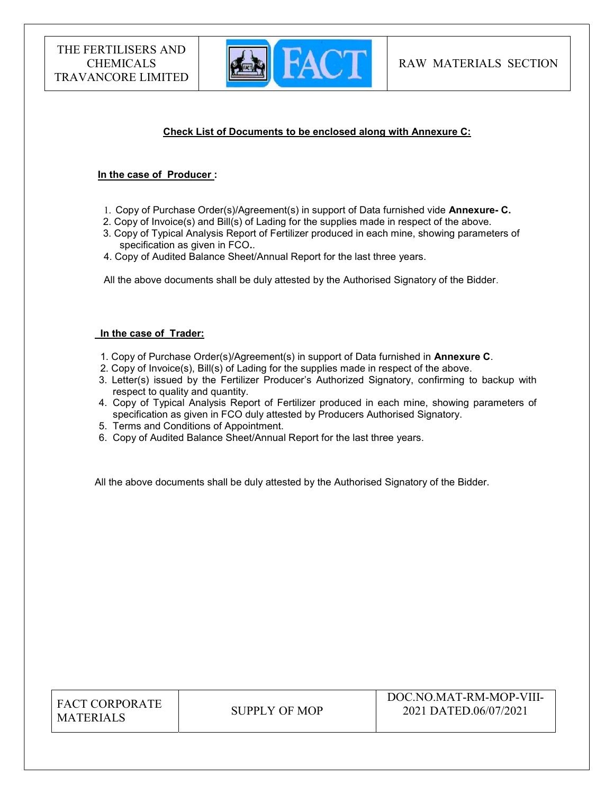

# Check List of Documents to be enclosed along with Annexure C:

#### In the case of Producer :

- 1. Copy of Purchase Order(s)/Agreement(s) in support of Data furnished vide Annexure- C.
- 2. Copy of Invoice(s) and Bill(s) of Lading for the supplies made in respect of the above.
- 3. Copy of Typical Analysis Report of Fertilizer produced in each mine, showing parameters of specification as given in FCO..
- 4. Copy of Audited Balance Sheet/Annual Report for the last three years.

All the above documents shall be duly attested by the Authorised Signatory of the Bidder.

## In the case of Trader:

- 1. Copy of Purchase Order(s)/Agreement(s) in support of Data furnished in Annexure C.
- 2. Copy of Invoice(s), Bill(s) of Lading for the supplies made in respect of the above.
- 3. Letter(s) issued by the Fertilizer Producer's Authorized Signatory, confirming to backup with respect to quality and quantity.
- 4. Copy of Typical Analysis Report of Fertilizer produced in each mine, showing parameters of specification as given in FCO duly attested by Producers Authorised Signatory.
- 5. Terms and Conditions of Appointment.
- 6. Copy of Audited Balance Sheet/Annual Report for the last three years.

All the above documents shall be duly attested by the Authorised Signatory of the Bidder.

| <b>FACT CORPORATE</b> |
|-----------------------|
| <b>MATERIALS</b>      |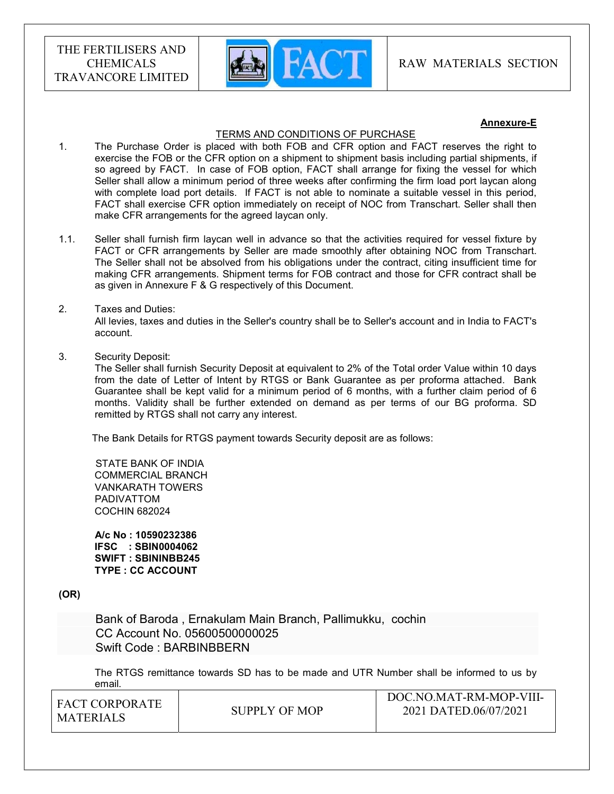

#### Annexure-E

#### TERMS AND CONDITIONS OF PURCHASE

- 1. The Purchase Order is placed with both FOB and CFR option and FACT reserves the right to exercise the FOB or the CFR option on a shipment to shipment basis including partial shipments, if so agreed by FACT. In case of FOB option, FACT shall arrange for fixing the vessel for which Seller shall allow a minimum period of three weeks after confirming the firm load port laycan along with complete load port details. If FACT is not able to nominate a suitable vessel in this period, FACT shall exercise CFR option immediately on receipt of NOC from Transchart. Seller shall then make CFR arrangements for the agreed laycan only.
- 1.1. Seller shall furnish firm laycan well in advance so that the activities required for vessel fixture by FACT or CFR arrangements by Seller are made smoothly after obtaining NOC from Transchart. The Seller shall not be absolved from his obligations under the contract, citing insufficient time for making CFR arrangements. Shipment terms for FOB contract and those for CFR contract shall be as given in Annexure F & G respectively of this Document.

#### 2. Taxes and Duties:

All levies, taxes and duties in the Seller's country shall be to Seller's account and in India to FACT's account.

3. Security Deposit:

The Seller shall furnish Security Deposit at equivalent to 2% of the Total order Value within 10 days from the date of Letter of Intent by RTGS or Bank Guarantee as per proforma attached. Bank Guarantee shall be kept valid for a minimum period of 6 months, with a further claim period of 6 months. Validity shall be further extended on demand as per terms of our BG proforma. SD remitted by RTGS shall not carry any interest.

The Bank Details for RTGS payment towards Security deposit are as follows:

 STATE BANK OF INDIA COMMERCIAL BRANCH VANKARATH TOWERS PADIVATTOM COCHIN 682024

 A/c No : 10590232386 IFSC : SBIN0004062 SWIFT : SBININBB245 TYPE : CC ACCOUNT

(OR)

 Bank of Baroda , Ernakulam Main Branch, Pallimukku, cochin CC Account No. 05600500000025 Swift Code : BARBINBBERN

The RTGS remittance towards SD has to be made and UTR Number shall be informed to us by email.

| I FACT CORPORATE<br>' MATERIALS | SUPPLY OF MOP | DOC.NO.MAT-RM-MOP-VIII-<br>2021 DATED.06/07/2021 |
|---------------------------------|---------------|--------------------------------------------------|
|                                 |               |                                                  |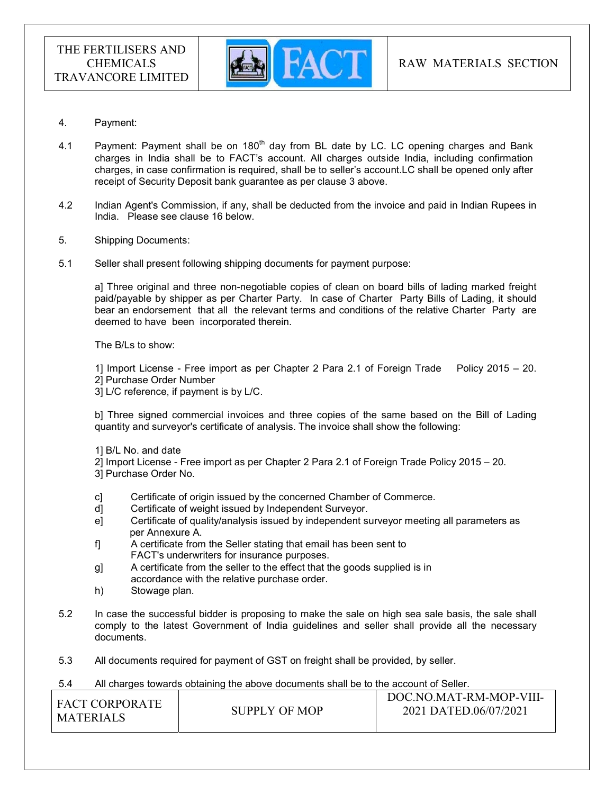

- 4. Payment:
- 4.1 Payment: Payment shall be on  $180<sup>th</sup>$  day from BL date by LC. LC opening charges and Bank charges in India shall be to FACT's account. All charges outside India, including confirmation charges, in case confirmation is required, shall be to seller's account.LC shall be opened only after receipt of Security Deposit bank guarantee as per clause 3 above.
- 4.2 Indian Agent's Commission, if any, shall be deducted from the invoice and paid in Indian Rupees in India. Please see clause 16 below.
- 5. Shipping Documents:
- 5.1 Seller shall present following shipping documents for payment purpose:

a] Three original and three non-negotiable copies of clean on board bills of lading marked freight paid/payable by shipper as per Charter Party. In case of Charter Party Bills of Lading, it should bear an endorsement that all the relevant terms and conditions of the relative Charter Party are deemed to have been incorporated therein.

The B/Ls to show:

1] Import License - Free import as per Chapter 2 Para 2.1 of Foreign Trade Policy 2015 – 20. 2] Purchase Order Number

3] L/C reference, if payment is by L/C.

b] Three signed commercial invoices and three copies of the same based on the Bill of Lading quantity and surveyor's certificate of analysis. The invoice shall show the following:

- 1] B/L No. and date
- 2] Import License Free import as per Chapter 2 Para 2.1 of Foreign Trade Policy 2015 20.
- 3] Purchase Order No.
- c] Certificate of origin issued by the concerned Chamber of Commerce.
- d] Certificate of weight issued by Independent Surveyor.
- e] Certificate of quality/analysis issued by independent surveyor meeting all parameters as per Annexure A.
- f] A certificate from the Seller stating that email has been sent to FACT's underwriters for insurance purposes.
- g] A certificate from the seller to the effect that the goods supplied is in accordance with the relative purchase order.
- h) Stowage plan.
- 5.2 In case the successful bidder is proposing to make the sale on high sea sale basis, the sale shall comply to the latest Government of India guidelines and seller shall provide all the necessary documents.
- 5.3 All documents required for payment of GST on freight shall be provided, by seller.

#### 5.4 All charges towards obtaining the above documents shall be to the account of Seller.

| ! FACT CORPORATE<br><b>MATERIALS</b> | SUPPLY OF MOP | DOC.NO.MAT-RM-MOP-VIII-<br>2021 DATED.06/07/2021 |
|--------------------------------------|---------------|--------------------------------------------------|
|                                      |               |                                                  |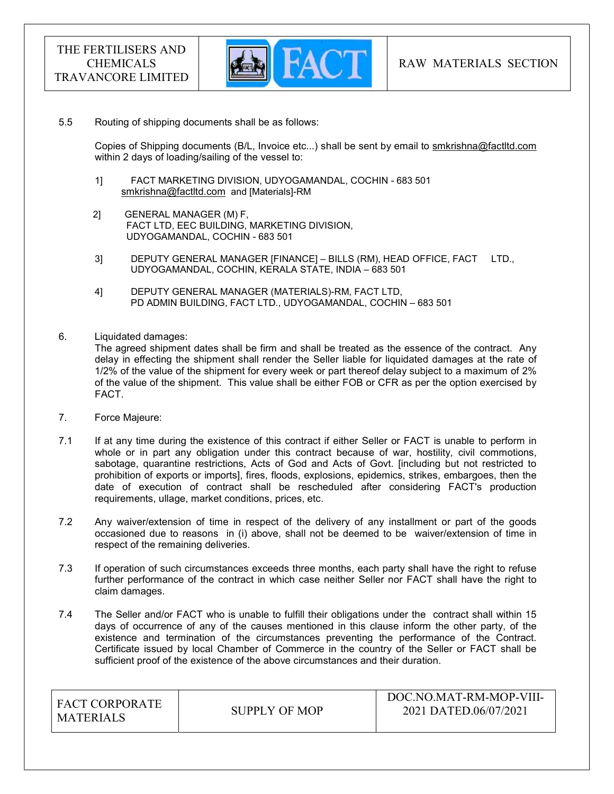

#### 5.5 Routing of shipping documents shall be as follows:

 Copies of Shipping documents (B/L, Invoice etc...) shall be sent by email to smkrishna@factltd.com within 2 days of loading/sailing of the vessel to:

- 1] FACT MARKETING DIVISION, UDYOGAMANDAL, COCHIN 683 501 smkrishna@factltd.com and [Materials]-RM
- 2] GENERAL MANAGER (M) F, FACT LTD, EEC BUILDING, MARKETING DIVISION, UDYOGAMANDAL, COCHIN - 683 501
- 3] DEPUTY GENERAL MANAGER [FINANCE] BILLS (RM), HEAD OFFICE, FACT LTD., UDYOGAMANDAL, COCHIN, KERALA STATE, INDIA – 683 501
- 4] DEPUTY GENERAL MANAGER (MATERIALS)-RM, FACT LTD, PD ADMIN BUILDING, FACT LTD., UDYOGAMANDAL, COCHIN – 683 501
- 6. Liquidated damages:

The agreed shipment dates shall be firm and shall be treated as the essence of the contract. Any delay in effecting the shipment shall render the Seller liable for liquidated damages at the rate of 1/2% of the value of the shipment for every week or part thereof delay subject to a maximum of 2% of the value of the shipment. This value shall be either FOB or CFR as per the option exercised by FACT.

- 7. Force Majeure:
- 7.1 If at any time during the existence of this contract if either Seller or FACT is unable to perform in whole or in part any obligation under this contract because of war, hostility, civil commotions, sabotage, quarantine restrictions, Acts of God and Acts of Govt. [including but not restricted to prohibition of exports or imports], fires, floods, explosions, epidemics, strikes, embargoes, then the date of execution of contract shall be rescheduled after considering FACT's production requirements, ullage, market conditions, prices, etc.
- 7.2 Any waiver/extension of time in respect of the delivery of any installment or part of the goods occasioned due to reasons in (i) above, shall not be deemed to be waiver/extension of time in respect of the remaining deliveries.
- 7.3 If operation of such circumstances exceeds three months, each party shall have the right to refuse further performance of the contract in which case neither Seller nor FACT shall have the right to claim damages.
- 7.4 The Seller and/or FACT who is unable to fulfill their obligations under the contract shall within 15 days of occurrence of any of the causes mentioned in this clause inform the other party, of the existence and termination of the circumstances preventing the performance of the Contract. Certificate issued by local Chamber of Commerce in the country of the Seller or FACT shall be sufficient proof of the existence of the above circumstances and their duration.

| <b>FACT CORPORATE</b> |               | DOC.NO.MAT-RM-MOP-VIII- |
|-----------------------|---------------|-------------------------|
| MATERIALS             | SUPPLY OF MOP | 2021 DATED.06/07/2021   |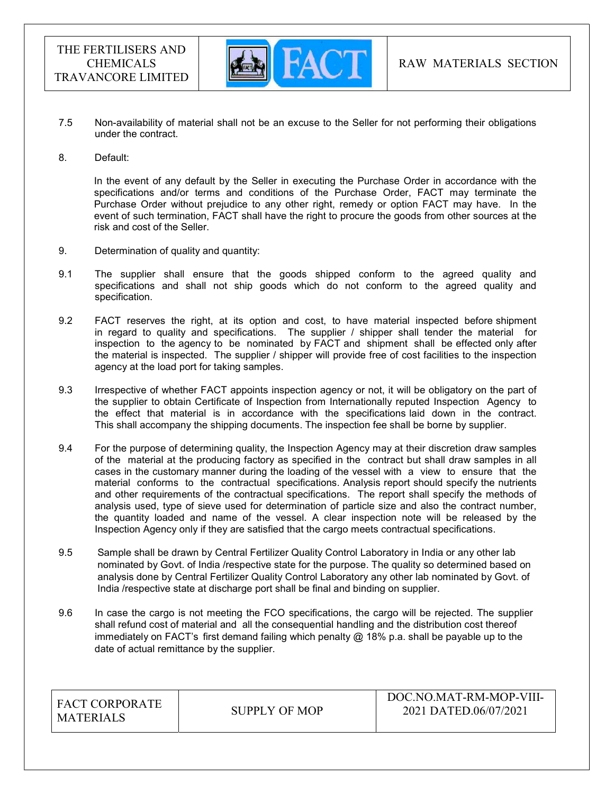

- 7.5 Non-availability of material shall not be an excuse to the Seller for not performing their obligations under the contract.
- 8. Default:

In the event of any default by the Seller in executing the Purchase Order in accordance with the specifications and/or terms and conditions of the Purchase Order, FACT may terminate the Purchase Order without prejudice to any other right, remedy or option FACT may have. In the event of such termination, FACT shall have the right to procure the goods from other sources at the risk and cost of the Seller.

- 9. Determination of quality and quantity:
- 9.1 The supplier shall ensure that the goods shipped conform to the agreed quality and specifications and shall not ship goods which do not conform to the agreed quality and specification.
- 9.2 FACT reserves the right, at its option and cost, to have material inspected before shipment in regard to quality and specifications. The supplier / shipper shall tender the material for inspection to the agency to be nominated by FACT and shipment shall be effected only after the material is inspected. The supplier / shipper will provide free of cost facilities to the inspection agency at the load port for taking samples.
- 9.3 Irrespective of whether FACT appoints inspection agency or not, it will be obligatory on the part of the supplier to obtain Certificate of Inspection from Internationally reputed Inspection Agency to the effect that material is in accordance with the specifications laid down in the contract. This shall accompany the shipping documents. The inspection fee shall be borne by supplier.
- 9.4 For the purpose of determining quality, the Inspection Agency may at their discretion draw samples of the material at the producing factory as specified in the contract but shall draw samples in all cases in the customary manner during the loading of the vessel with a view to ensure that the material conforms to the contractual specifications. Analysis report should specify the nutrients and other requirements of the contractual specifications. The report shall specify the methods of analysis used, type of sieve used for determination of particle size and also the contract number, the quantity loaded and name of the vessel. A clear inspection note will be released by the Inspection Agency only if they are satisfied that the cargo meets contractual specifications.
- 9.5 Sample shall be drawn by Central Fertilizer Quality Control Laboratory in India or any other lab nominated by Govt. of India /respective state for the purpose. The quality so determined based on analysis done by Central Fertilizer Quality Control Laboratory any other lab nominated by Govt. of India /respective state at discharge port shall be final and binding on supplier.
- 9.6 In case the cargo is not meeting the FCO specifications, the cargo will be rejected. The supplier shall refund cost of material and all the consequential handling and the distribution cost thereof immediately on FACT's first demand failing which penalty  $@$  18% p.a. shall be payable up to the date of actual remittance by the supplier.

| <b>FACT CORPORATE</b> |                      | DOC.NO.MAT-RM-MOP-VIII- |
|-----------------------|----------------------|-------------------------|
| <b>MATERIALS</b>      | <b>SUPPLY OF MOP</b> | 2021 DATED.06/07/2021   |
|                       |                      |                         |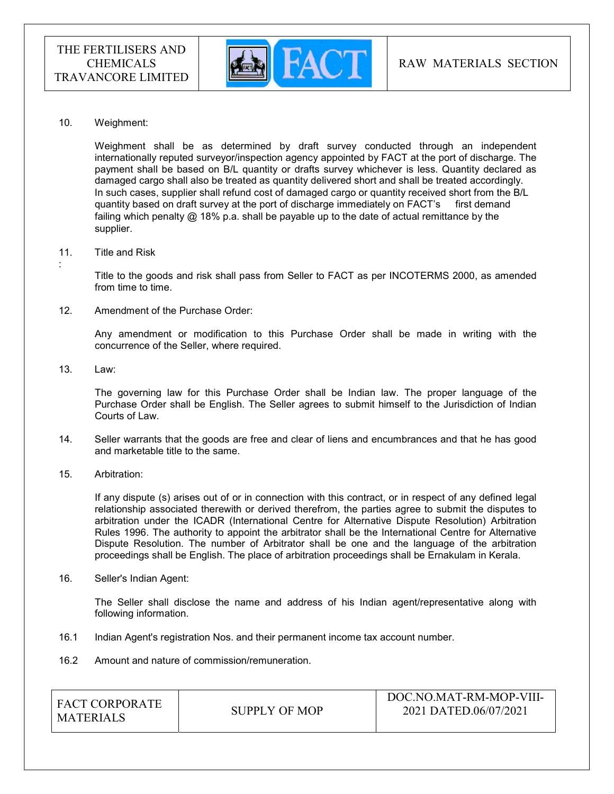

#### 10. Weighment:

 Weighment shall be as determined by draft survey conducted through an independent internationally reputed surveyor/inspection agency appointed by FACT at the port of discharge. The payment shall be based on B/L quantity or drafts survey whichever is less. Quantity declared as damaged cargo shall also be treated as quantity delivered short and shall be treated accordingly. In such cases, supplier shall refund cost of damaged cargo or quantity received short from the B/L quantity based on draft survey at the port of discharge immediately on FACT's first demand failing which penalty @ 18% p.a. shall be payable up to the date of actual remittance by the supplier.

#### 11. Title and Risk

Title to the goods and risk shall pass from Seller to FACT as per INCOTERMS 2000, as amended from time to time.

#### 12. Amendment of the Purchase Order:

Any amendment or modification to this Purchase Order shall be made in writing with the concurrence of the Seller, where required.

13. Law:

:

The governing law for this Purchase Order shall be Indian law. The proper language of the Purchase Order shall be English. The Seller agrees to submit himself to the Jurisdiction of Indian Courts of Law.

- 14. Seller warrants that the goods are free and clear of liens and encumbrances and that he has good and marketable title to the same.
- 15. Arbitration:

If any dispute (s) arises out of or in connection with this contract, or in respect of any defined legal relationship associated therewith or derived therefrom, the parties agree to submit the disputes to arbitration under the ICADR (International Centre for Alternative Dispute Resolution) Arbitration Rules 1996. The authority to appoint the arbitrator shall be the International Centre for Alternative Dispute Resolution. The number of Arbitrator shall be one and the language of the arbitration proceedings shall be English. The place of arbitration proceedings shall be Ernakulam in Kerala.

16. Seller's Indian Agent:

The Seller shall disclose the name and address of his Indian agent/representative along with following information.

- 16.1 Indian Agent's registration Nos. and their permanent income tax account number.
- 16.2 Amount and nature of commission/remuneration.

| I FACT CORPORATE |               | DOC.NO.MAT-RM-MOP-VIII- |
|------------------|---------------|-------------------------|
| <b>MATERIALS</b> | SUPPLY OF MOP | 2021 DATED.06/07/2021   |
|                  |               |                         |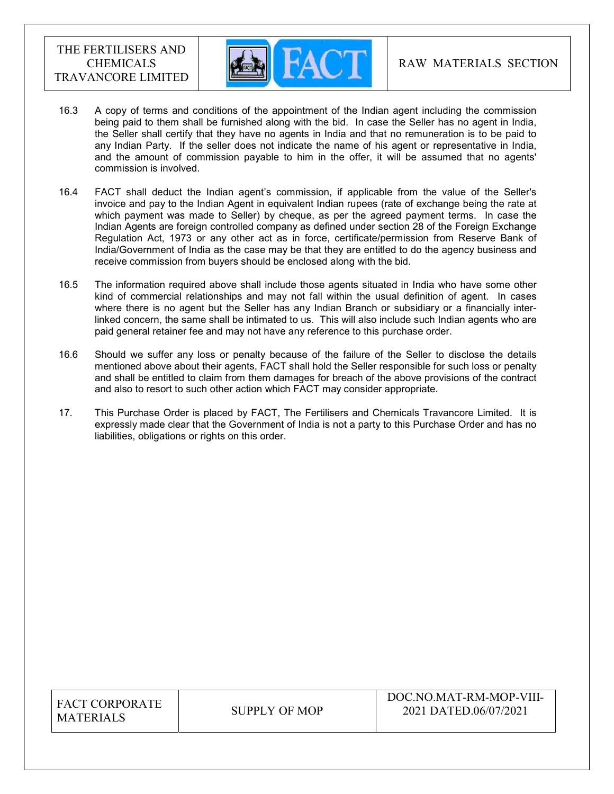

- 16.3 A copy of terms and conditions of the appointment of the Indian agent including the commission being paid to them shall be furnished along with the bid. In case the Seller has no agent in India, the Seller shall certify that they have no agents in India and that no remuneration is to be paid to any Indian Party. If the seller does not indicate the name of his agent or representative in India, and the amount of commission payable to him in the offer, it will be assumed that no agents' commission is involved.
- 16.4 FACT shall deduct the Indian agent's commission, if applicable from the value of the Seller's invoice and pay to the Indian Agent in equivalent Indian rupees (rate of exchange being the rate at which payment was made to Seller) by cheque, as per the agreed payment terms. In case the Indian Agents are foreign controlled company as defined under section 28 of the Foreign Exchange Regulation Act, 1973 or any other act as in force, certificate/permission from Reserve Bank of India/Government of India as the case may be that they are entitled to do the agency business and receive commission from buyers should be enclosed along with the bid.
- 16.5 The information required above shall include those agents situated in India who have some other kind of commercial relationships and may not fall within the usual definition of agent. In cases where there is no agent but the Seller has any Indian Branch or subsidiary or a financially interlinked concern, the same shall be intimated to us. This will also include such Indian agents who are paid general retainer fee and may not have any reference to this purchase order.
- 16.6 Should we suffer any loss or penalty because of the failure of the Seller to disclose the details mentioned above about their agents, FACT shall hold the Seller responsible for such loss or penalty and shall be entitled to claim from them damages for breach of the above provisions of the contract and also to resort to such other action which FACT may consider appropriate.
- 17. This Purchase Order is placed by FACT, The Fertilisers and Chemicals Travancore Limited. It is expressly made clear that the Government of India is not a party to this Purchase Order and has no liabilities, obligations or rights on this order.

| <b>FACT CORPORATE</b> |
|-----------------------|
| <b>MATERIALS</b>      |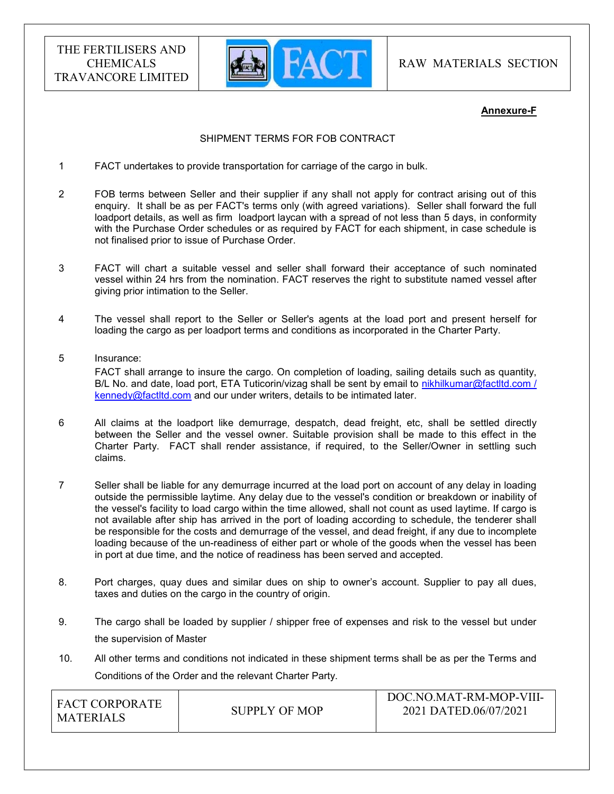

RAW MATERIALS SECTION

## Annexure-F

## SHIPMENT TERMS FOR FOB CONTRACT

- 1 FACT undertakes to provide transportation for carriage of the cargo in bulk.
- 2 FOB terms between Seller and their supplier if any shall not apply for contract arising out of this enquiry. It shall be as per FACT's terms only (with agreed variations). Seller shall forward the full loadport details, as well as firm loadport laycan with a spread of not less than 5 days, in conformity with the Purchase Order schedules or as required by FACT for each shipment, in case schedule is not finalised prior to issue of Purchase Order.
- 3 FACT will chart a suitable vessel and seller shall forward their acceptance of such nominated vessel within 24 hrs from the nomination. FACT reserves the right to substitute named vessel after giving prior intimation to the Seller.
- 4 The vessel shall report to the Seller or Seller's agents at the load port and present herself for loading the cargo as per loadport terms and conditions as incorporated in the Charter Party.
- 5 Insurance: FACT shall arrange to insure the cargo. On completion of loading, sailing details such as quantity, B/L No. and date, load port, ETA Tuticorin/vizag shall be sent by email to nikhilkumar@factltd.com / kennedy@factltd.com and our under writers, details to be intimated later.
- 6 All claims at the loadport like demurrage, despatch, dead freight, etc, shall be settled directly between the Seller and the vessel owner. Suitable provision shall be made to this effect in the Charter Party. FACT shall render assistance, if required, to the Seller/Owner in settling such claims.
- 7 Seller shall be liable for any demurrage incurred at the load port on account of any delay in loading outside the permissible laytime. Any delay due to the vessel's condition or breakdown or inability of the vessel's facility to load cargo within the time allowed, shall not count as used laytime. If cargo is not available after ship has arrived in the port of loading according to schedule, the tenderer shall be responsible for the costs and demurrage of the vessel, and dead freight, if any due to incomplete loading because of the un-readiness of either part or whole of the goods when the vessel has been in port at due time, and the notice of readiness has been served and accepted.
- 8. Port charges, quay dues and similar dues on ship to owner's account. Supplier to pay all dues, taxes and duties on the cargo in the country of origin.
- 9. The cargo shall be loaded by supplier / shipper free of expenses and risk to the vessel but under the supervision of Master
- 10. All other terms and conditions not indicated in these shipment terms shall be as per the Terms and Conditions of the Order and the relevant Charter Party.

| <b>FACT CORPORATE</b> |               | DOC.NO.MAT-RM-MOP-VIII- |  |  |
|-----------------------|---------------|-------------------------|--|--|
| MATERIALS             | SUPPLY OF MOP | 2021 DATED.06/07/2021   |  |  |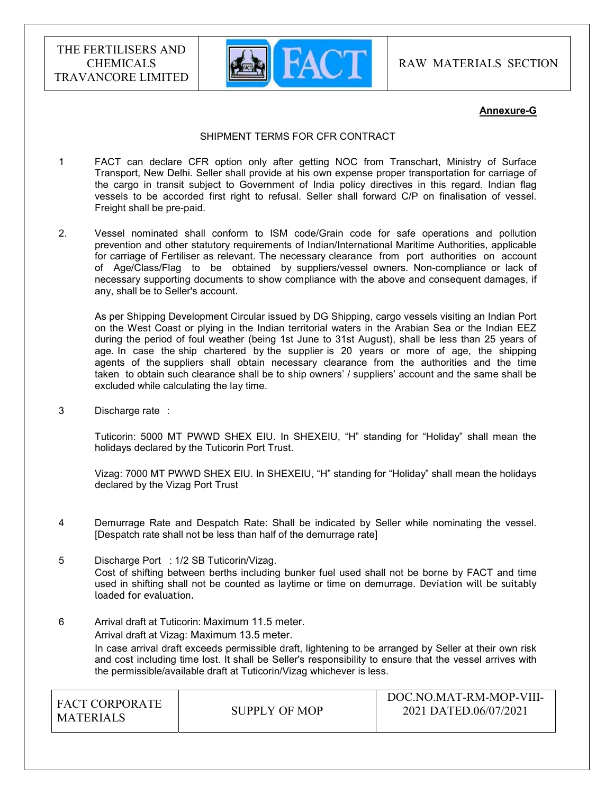

RAW MATERIALS SECTION

## Annexure-G

#### SHIPMENT TERMS FOR CFR CONTRACT

- 1 FACT can declare CFR option only after getting NOC from Transchart, Ministry of Surface Transport, New Delhi. Seller shall provide at his own expense proper transportation for carriage of the cargo in transit subject to Government of India policy directives in this regard. Indian flag vessels to be accorded first right to refusal. Seller shall forward C/P on finalisation of vessel. Freight shall be pre-paid.
- 2. Vessel nominated shall conform to ISM code/Grain code for safe operations and pollution prevention and other statutory requirements of Indian/International Maritime Authorities, applicable for carriage of Fertiliser as relevant. The necessary clearance from port authorities on account of Age/Class/Flag to be obtained by suppliers/vessel owners. Non-compliance or lack of necessary supporting documents to show compliance with the above and consequent damages, if any, shall be to Seller's account.

 As per Shipping Development Circular issued by DG Shipping, cargo vessels visiting an Indian Port on the West Coast or plying in the Indian territorial waters in the Arabian Sea or the Indian EEZ during the period of foul weather (being 1st June to 31st August), shall be less than 25 years of age. In case the ship chartered by the supplier is 20 years or more of age, the shipping agents of the suppliers shall obtain necessary clearance from the authorities and the time taken to obtain such clearance shall be to ship owners' / suppliers' account and the same shall be excluded while calculating the lay time.

3 Discharge rate :

 Tuticorin: 5000 MT PWWD SHEX EIU. In SHEXEIU, "H" standing for "Holiday" shall mean the holidays declared by the Tuticorin Port Trust.

Vizag: 7000 MT PWWD SHEX EIU. In SHEXEIU, "H" standing for "Holiday" shall mean the holidays declared by the Vizag Port Trust

- 4 Demurrage Rate and Despatch Rate: Shall be indicated by Seller while nominating the vessel. [Despatch rate shall not be less than half of the demurrage rate]
- 5 Discharge Port : 1/2 SB Tuticorin/Vizag. Cost of shifting between berths including bunker fuel used shall not be borne by FACT and time used in shifting shall not be counted as laytime or time on demurrage. Deviation will be suitably loaded for evaluation.
- 6 Arrival draft at Tuticorin: Maximum 11.5 meter. Arrival draft at Vizag: Maximum 13.5 meter. In case arrival draft exceeds permissible draft, lightening to be arranged by Seller at their own risk and cost including time lost. It shall be Seller's responsibility to ensure that the vessel arrives with the permissible/available draft at Tuticorin/Vizag whichever is less.

| I FACT CORPORATE |               | DOC.NO.MAT-RM-MOP-VIII- |
|------------------|---------------|-------------------------|
| I MATERIALS      | SUPPLY OF MOP | 2021 DATED.06/07/2021   |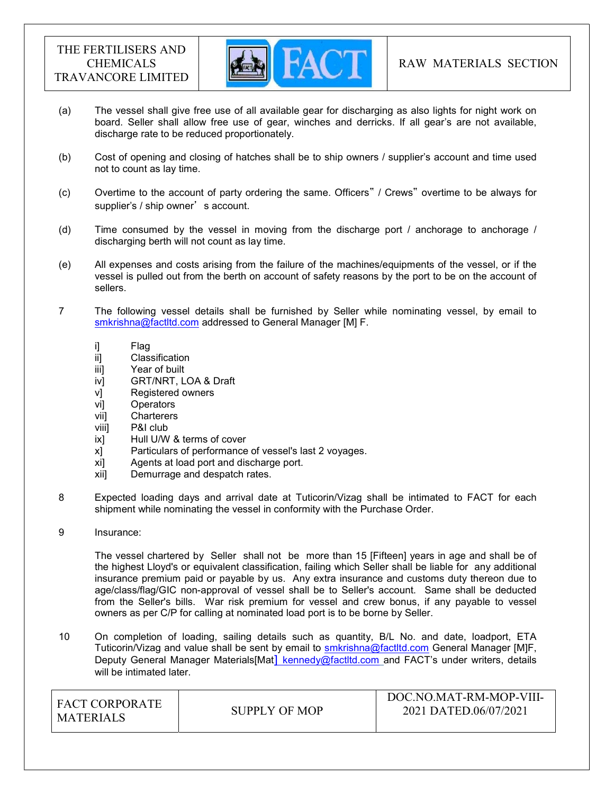

- (a) The vessel shall give free use of all available gear for discharging as also lights for night work on board. Seller shall allow free use of gear, winches and derricks. If all gear's are not available, discharge rate to be reduced proportionately.
- (b) Cost of opening and closing of hatches shall be to ship owners / supplier's account and time used not to count as lay time.
- (c) Overtime to the account of party ordering the same. Officers" / Crews" overtime to be always for supplier's / ship owner's account.
- (d) Time consumed by the vessel in moving from the discharge port / anchorage to anchorage / discharging berth will not count as lay time.
- (e) All expenses and costs arising from the failure of the machines/equipments of the vessel, or if the vessel is pulled out from the berth on account of safety reasons by the port to be on the account of sellers.
- 7 The following vessel details shall be furnished by Seller while nominating vessel, by email to smkrishna@factltd.com addressed to General Manager [M] F.
	- i] Flag
	- ii] Classification
	- iii] Year of built
	- iv] GRT/NRT, LOA & Draft
	- v] Registered owners
	- vi] Operators
	- vii] Charterers
	- viii] P&I club
	- ix] Hull U/W & terms of cover
	- x] Particulars of performance of vessel's last 2 voyages.
	- xi] Agents at load port and discharge port.
	- xii] Demurrage and despatch rates.
- 8 Expected loading days and arrival date at Tuticorin/Vizag shall be intimated to FACT for each shipment while nominating the vessel in conformity with the Purchase Order.
- 9 Insurance:

 The vessel chartered by Seller shall not be more than 15 [Fifteen] years in age and shall be of the highest Lloyd's or equivalent classification, failing which Seller shall be liable for any additional insurance premium paid or payable by us. Any extra insurance and customs duty thereon due to age/class/flag/GIC non-approval of vessel shall be to Seller's account. Same shall be deducted from the Seller's bills. War risk premium for vessel and crew bonus, if any payable to vessel owners as per C/P for calling at nominated load port is to be borne by Seller.

10 On completion of loading, sailing details such as quantity, B/L No. and date, loadport, ETA Tuticorin/Vizag and value shall be sent by email to smkrishna@factltd.com General Manager [M]F, Deputy General Manager Materials[Mat] kennedy@factltd.com and FACT's under writers, details will be intimated later.

| FACT CORPORATE<br><b>MATERIALS</b> | SUPPLY OF MOP | DOC.NO.MAT-RM-MOP-VIII-<br>2021 DATED.06/07/2021 |
|------------------------------------|---------------|--------------------------------------------------|
|                                    |               |                                                  |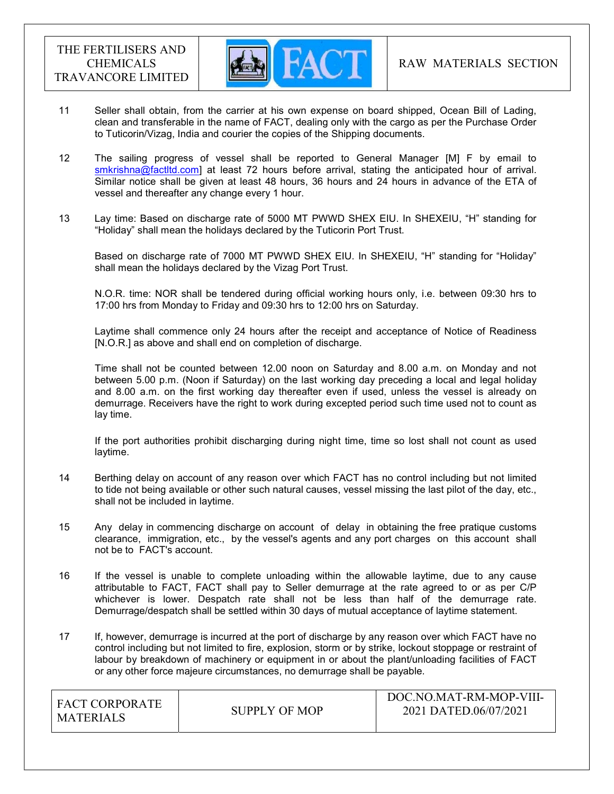

- 11 Seller shall obtain, from the carrier at his own expense on board shipped, Ocean Bill of Lading, clean and transferable in the name of FACT, dealing only with the cargo as per the Purchase Order to Tuticorin/Vizag, India and courier the copies of the Shipping documents.
- 12 The sailing progress of vessel shall be reported to General Manager [M] F by email to smkrishna@factltd.com] at least 72 hours before arrival, stating the anticipated hour of arrival. Similar notice shall be given at least 48 hours, 36 hours and 24 hours in advance of the ETA of vessel and thereafter any change every 1 hour.
- 13 Lay time: Based on discharge rate of 5000 MT PWWD SHEX EIU. In SHEXEIU, "H" standing for "Holiday" shall mean the holidays declared by the Tuticorin Port Trust.

Based on discharge rate of 7000 MT PWWD SHEX EIU. In SHEXEIU, "H" standing for "Holiday" shall mean the holidays declared by the Vizag Port Trust.

 N.O.R. time: NOR shall be tendered during official working hours only, i.e. between 09:30 hrs to 17:00 hrs from Monday to Friday and 09:30 hrs to 12:00 hrs on Saturday.

 Laytime shall commence only 24 hours after the receipt and acceptance of Notice of Readiness [N.O.R.] as above and shall end on completion of discharge.

 Time shall not be counted between 12.00 noon on Saturday and 8.00 a.m. on Monday and not between 5.00 p.m. (Noon if Saturday) on the last working day preceding a local and legal holiday and 8.00 a.m. on the first working day thereafter even if used, unless the vessel is already on demurrage. Receivers have the right to work during excepted period such time used not to count as lay time.

 If the port authorities prohibit discharging during night time, time so lost shall not count as used laytime.

- 14 Berthing delay on account of any reason over which FACT has no control including but not limited to tide not being available or other such natural causes, vessel missing the last pilot of the day, etc., shall not be included in laytime.
- 15 Any delay in commencing discharge on account of delay in obtaining the free pratique customs clearance, immigration, etc., by the vessel's agents and any port charges on this account shall not be to FACT's account.
- 16 If the vessel is unable to complete unloading within the allowable laytime, due to any cause attributable to FACT, FACT shall pay to Seller demurrage at the rate agreed to or as per C/P whichever is lower. Despatch rate shall not be less than half of the demurrage rate. Demurrage/despatch shall be settled within 30 days of mutual acceptance of laytime statement.
- 17 If, however, demurrage is incurred at the port of discharge by any reason over which FACT have no control including but not limited to fire, explosion, storm or by strike, lockout stoppage or restraint of labour by breakdown of machinery or equipment in or about the plant/unloading facilities of FACT or any other force majeure circumstances, no demurrage shall be payable.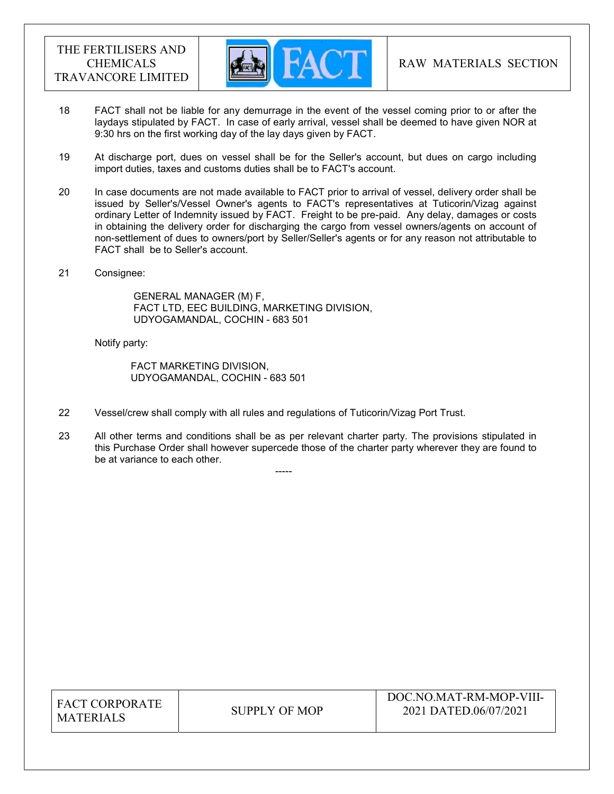

- 18 FACT shall not be liable for any demurrage in the event of the vessel coming prior to or after the laydays stipulated by FACT. In case of early arrival, vessel shall be deemed to have given NOR at 9:30 hrs on the first working day of the lay days given by FACT.
- 19 At discharge port, dues on vessel shall be for the Seller's account, but dues on cargo including import duties, taxes and customs duties shall be to FACT's account.
- 20 In case documents are not made available to FACT prior to arrival of vessel, delivery order shall be issued by Seller's/Vessel Owner's agents to FACT's representatives at Tuticorin/Vizag against ordinary Letter of Indemnity issued by FACT. Freight to be pre-paid. Any delay, damages or costs in obtaining the delivery order for discharging the cargo from vessel owners/agents on account of non-settlement of dues to owners/port by Seller/Seller's agents or for any reason not attributable to FACT shall be to Seller's account.
- 21 Consignee:

 GENERAL MANAGER (M) F, FACT LTD, EEC BUILDING, MARKETING DIVISION, UDYOGAMANDAL, COCHIN - 683 501

Notify party:

 FACT MARKETING DIVISION, UDYOGAMANDAL, COCHIN - 683 501

-----

- 22 Vessel/crew shall comply with all rules and regulations of Tuticorin/Vizag Port Trust.
- 23 All other terms and conditions shall be as per relevant charter party. The provisions stipulated in this Purchase Order shall however supercede those of the charter party wherever they are found to be at variance to each other.

| <b>FACT CORPORATE</b> |
|-----------------------|
| <b>MATERIALS</b>      |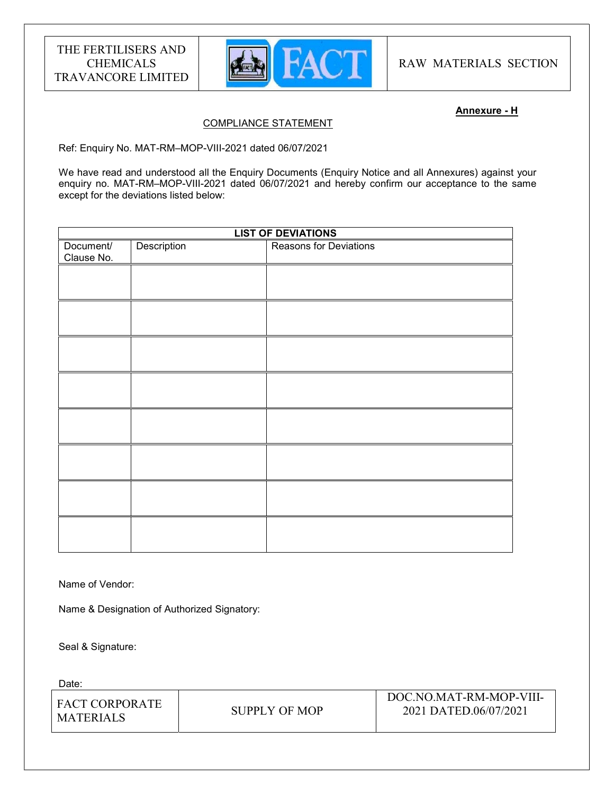

RAW MATERIALS SECTION

## Annexure - H

## COMPLIANCE STATEMENT

Ref: Enquiry No. MAT-RM–MOP-VIII-2021 dated 06/07/2021

We have read and understood all the Enquiry Documents (Enquiry Notice and all Annexures) against your enquiry no. MAT-RM–MOP-VIII-2021 dated 06/07/2021 and hereby confirm our acceptance to the same except for the deviations listed below:

| <b>LIST OF DEVIATIONS</b> |             |                               |
|---------------------------|-------------|-------------------------------|
| Document/<br>Clause No.   | Description | <b>Reasons for Deviations</b> |
|                           |             |                               |
|                           |             |                               |
|                           |             |                               |
|                           |             |                               |
|                           |             |                               |
|                           |             |                               |
|                           |             |                               |
|                           |             |                               |
|                           |             |                               |

Name of Vendor:

Name & Designation of Authorized Signatory:

Seal & Signature:

Date:

| I FACT CORPORATE |               | DOC.NO.MAT-RM-MOP-VIII- |
|------------------|---------------|-------------------------|
| I MATERIALS      | SUPPLY OF MOP | 2021 DATED.06/07/2021   |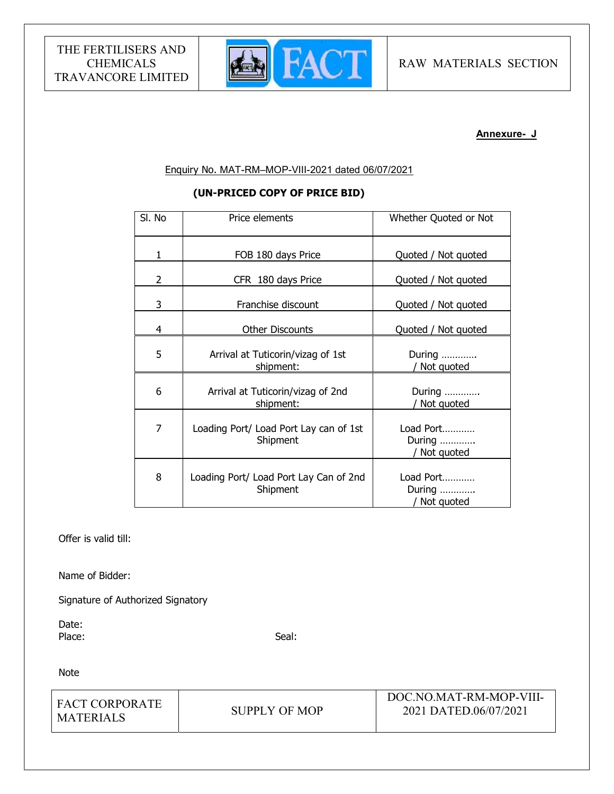

## Annexure- J

## Enquiry No. MAT-RM–MOP-VIII-2021 dated 06/07/2021

# (UN-PRICED COPY OF PRICE BID)

| SI. No | Price elements                                     | Whether Quoted or Not               |
|--------|----------------------------------------------------|-------------------------------------|
| 1      | FOB 180 days Price                                 | Quoted / Not quoted                 |
| 2      | CFR 180 days Price                                 | Quoted / Not quoted                 |
| 3      | Franchise discount                                 | Quoted / Not quoted                 |
| 4      | <b>Other Discounts</b>                             | Quoted / Not quoted                 |
| 5      | Arrival at Tuticorin/vizag of 1st<br>shipment:     | During<br>Not quoted                |
| 6      | Arrival at Tuticorin/vizag of 2nd<br>shipment:     | During<br>Not quoted                |
| 7      | Loading Port/ Load Port Lay can of 1st<br>Shipment | Load Port<br>During<br>/ Not quoted |
| 8      | Loading Port/ Load Port Lay Can of 2nd<br>Shipment | Load Port<br>During<br>/ Not quoted |

Offer is valid till:

Name of Bidder:

Signature of Authorized Signatory

Date: Place: Seal: Seal: Seal: Seal: Seal: Seal: Seal: Seal: Seal: Seal: Seal: Seal: Seal: Seal: Seal: Seal: Seal: Seal: Seal: Seal: Seal: Seal: Seal: Seal: Seal: Seal: Seal: Seal: Seal: Seal: Seal: Seal: Seal: Seal: Seal: Seal:

Note

| I FACT CORPORATE |               | DOC.NO.MAT-RM-MOP-VIII- |
|------------------|---------------|-------------------------|
| I MATERIALS      | SUPPLY OF MOP | 2021 DATED.06/07/2021   |
|                  |               |                         |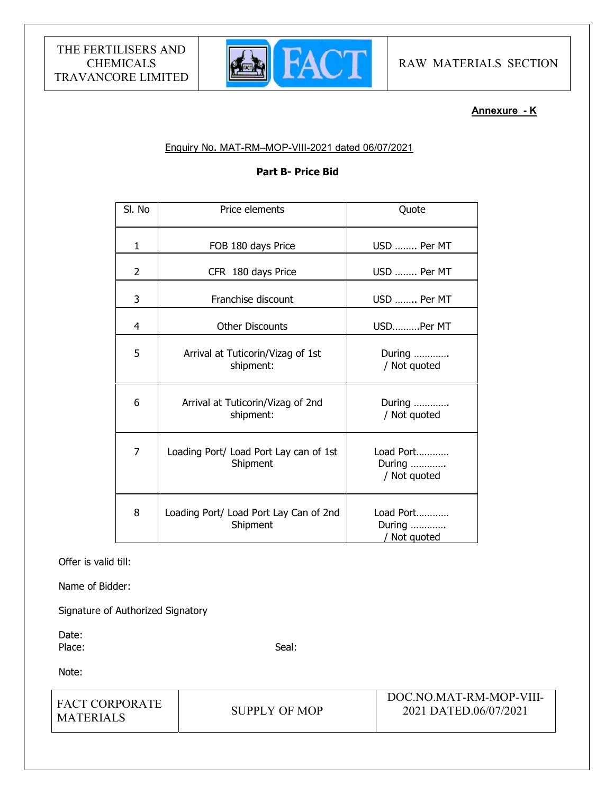

# Annexure - K

## Enquiry No. MAT-RM–MOP-VIII-2021 dated 06/07/2021

## Part B- Price Bid

| SI. No       | Price elements                                     | Quote                               |
|--------------|----------------------------------------------------|-------------------------------------|
| $\mathbf{1}$ | FOB 180 days Price                                 | USD  Per MT                         |
| 2            | CFR 180 days Price                                 | USD  Per MT                         |
| 3            | Franchise discount                                 | USD  Per MT                         |
| 4            | <b>Other Discounts</b>                             | USDPer MT                           |
| 5            | Arrival at Tuticorin/Vizag of 1st<br>shipment:     | During<br>/ Not quoted              |
| 6            | Arrival at Tuticorin/Vizag of 2nd<br>shipment:     | During<br>/ Not quoted              |
| 7            | Loading Port/ Load Port Lay can of 1st<br>Shipment | Load Port<br>During<br>/ Not quoted |
| 8            | Loading Port/ Load Port Lay Can of 2nd<br>Shipment | Load Port<br>During<br>/ Not quoted |

Offer is valid till:

Name of Bidder:

Signature of Authorized Signatory

Date: Place: Seal: Seal: Seal: Seal: Seal: Seal: Seal: Seal: Seal: Seal: Seal: Seal: Seal: Seal: Seal: Seal: Seal: Seal: Seal: Seal: Seal: Seal: Seal: Seal: Seal: Seal: Seal: Seal: Seal: Seal: Seal: Seal: Seal: Seal: Seal: Seal:

Note:

| I FACT CORPORATE |               | DOC.NO.MAT-RM-MOP-VIII- |  |
|------------------|---------------|-------------------------|--|
| MATERIALS        | SUPPLY OF MOP | 2021 DATED.06/07/2021   |  |
|                  |               |                         |  |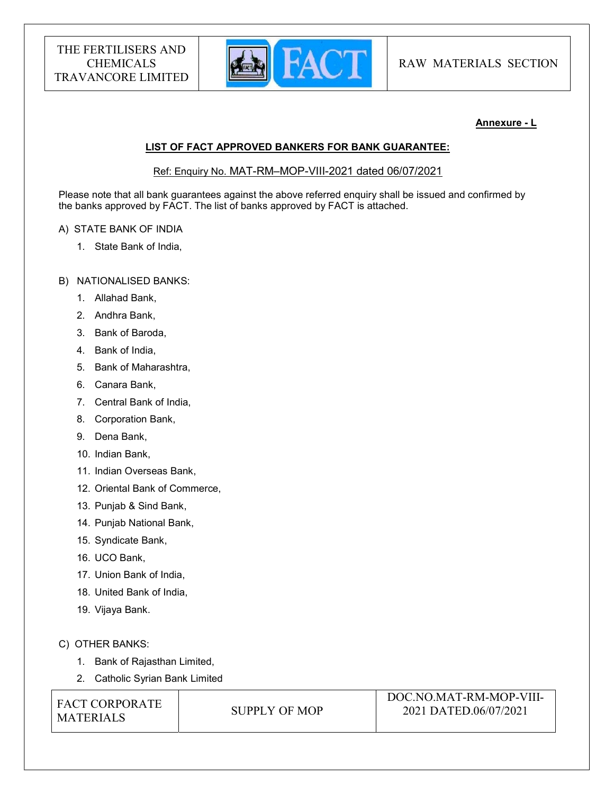

RAW MATERIALS SECTION

## Annexure - L

# LIST OF FACT APPROVED BANKERS FOR BANK GUARANTEE:

## Ref: Enquiry No. MAT-RM–MOP-VIII-2021 dated 06/07/2021

Please note that all bank guarantees against the above referred enquiry shall be issued and confirmed by the banks approved by FACT. The list of banks approved by FACT is attached.

## A) STATE BANK OF INDIA

1. State Bank of India,

## B) NATIONALISED BANKS:

- 1. Allahad Bank,
- 2. Andhra Bank,
- 3. Bank of Baroda,
- 4. Bank of India,
- 5. Bank of Maharashtra,
- 6. Canara Bank,
- 7. Central Bank of India,
- 8. Corporation Bank,
- 9. Dena Bank,
- 10. Indian Bank,
- 11. Indian Overseas Bank,
- 12. Oriental Bank of Commerce,
- 13. Punjab & Sind Bank,
- 14. Punjab National Bank,
- 15. Syndicate Bank,
- 16. UCO Bank,
- 17. Union Bank of India,
- 18. United Bank of India,
- 19. Vijaya Bank.

## C) OTHER BANKS:

- 1. Bank of Rajasthan Limited,
- 2. Catholic Syrian Bank Limited

FACT CORPORATE MATERIALS SUPPLY OF MOP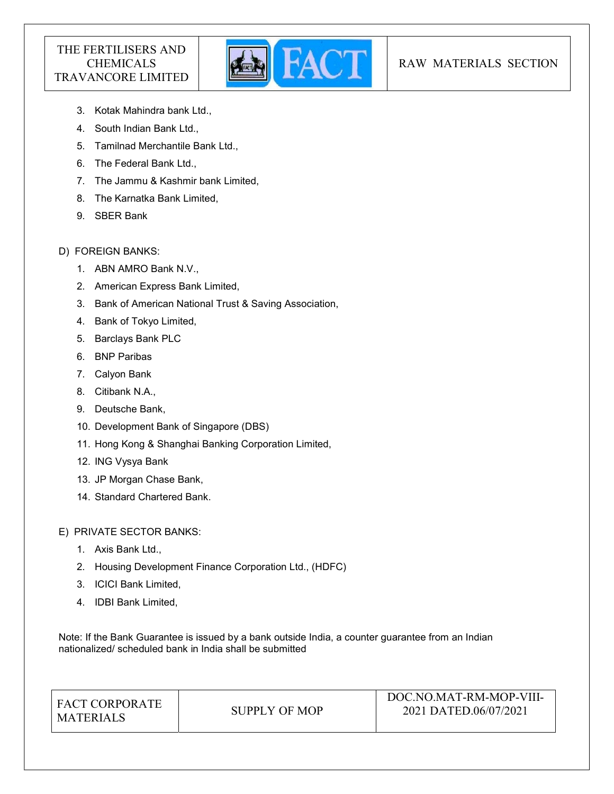

# RAW MATERIALS SECTION

- 3. Kotak Mahindra bank Ltd.,
- 4. South Indian Bank Ltd.,
- 5. Tamilnad Merchantile Bank Ltd.,
- 6. The Federal Bank Ltd.,
- 7. The Jammu & Kashmir bank Limited,
- 8. The Karnatka Bank Limited,
- 9. SBER Bank

# D) FOREIGN BANKS:

- 1. ABN AMRO Bank N.V.,
- 2. American Express Bank Limited,
- 3. Bank of American National Trust & Saving Association,
- 4. Bank of Tokyo Limited,
- 5. Barclays Bank PLC
- 6. BNP Paribas
- 7. Calyon Bank
- 8. Citibank N.A.,
- 9. Deutsche Bank,
- 10. Development Bank of Singapore (DBS)
- 11. Hong Kong & Shanghai Banking Corporation Limited,
- 12. ING Vysya Bank
- 13. JP Morgan Chase Bank,
- 14. Standard Chartered Bank.

E) PRIVATE SECTOR BANKS:

- 1. Axis Bank Ltd.,
- 2. Housing Development Finance Corporation Ltd., (HDFC)
- 3. ICICI Bank Limited,
- 4. IDBI Bank Limited,

Note: If the Bank Guarantee is issued by a bank outside India, a counter guarantee from an Indian nationalized/ scheduled bank in India shall be submitted

| <b>FACT CORPORATE</b><br>SUPPLY OF MOP<br><b>MATERIALS</b> | DOC.NO.MAT-RM-MOP-VIII-<br>2021 DATED.06/07/2021 |
|------------------------------------------------------------|--------------------------------------------------|
|------------------------------------------------------------|--------------------------------------------------|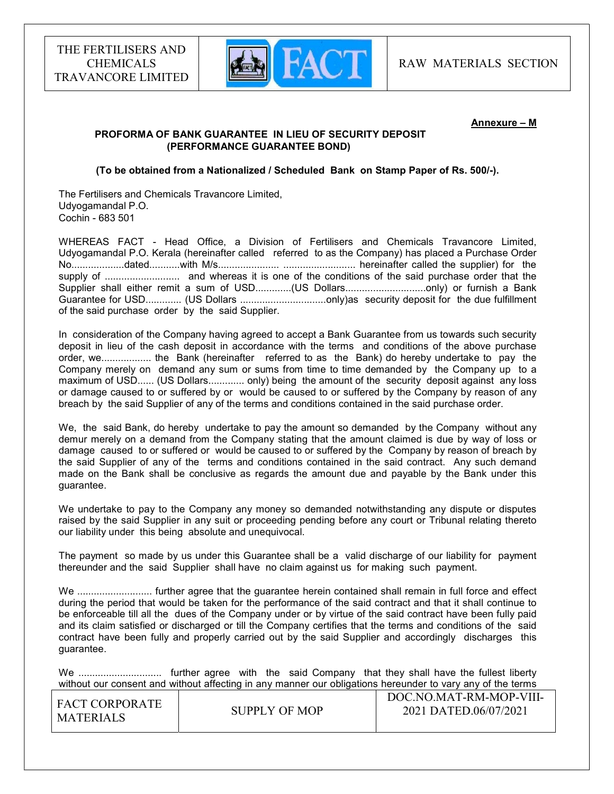

#### Annexure – M

## PROFORMA OF BANK GUARANTEE IN LIEU OF SECURITY DEPOSIT (PERFORMANCE GUARANTEE BOND)

#### (To be obtained from a Nationalized / Scheduled Bank on Stamp Paper of Rs. 500/-).

The Fertilisers and Chemicals Travancore Limited, Udyogamandal P.O. Cochin - 683 501

WHEREAS FACT - Head Office, a Division of Fertilisers and Chemicals Travancore Limited, Udyogamandal P.O. Kerala (hereinafter called referred to as the Company) has placed a Purchase Order No...................dated...........with M/s...................... .......................... hereinafter called the supplier) for the supply of ........................... and whereas it is one of the conditions of the said purchase order that the Supplier shall either remit a sum of USD..............(US Dollars.................................only) or furnish a Bank Guarantee for USD............. (US Dollars ...............................only)as security deposit for the due fulfillment of the said purchase order by the said Supplier.

In consideration of the Company having agreed to accept a Bank Guarantee from us towards such security deposit in lieu of the cash deposit in accordance with the terms and conditions of the above purchase order, we.................. the Bank (hereinafter referred to as the Bank) do hereby undertake to pay the Company merely on demand any sum or sums from time to time demanded by the Company up to a maximum of USD...... (US Dollars............. only) being the amount of the security deposit against any loss or damage caused to or suffered by or would be caused to or suffered by the Company by reason of any breach by the said Supplier of any of the terms and conditions contained in the said purchase order.

We, the said Bank, do hereby undertake to pay the amount so demanded by the Company without any demur merely on a demand from the Company stating that the amount claimed is due by way of loss or damage caused to or suffered or would be caused to or suffered by the Company by reason of breach by the said Supplier of any of the terms and conditions contained in the said contract. Any such demand made on the Bank shall be conclusive as regards the amount due and payable by the Bank under this guarantee.

We undertake to pay to the Company any money so demanded notwithstanding any dispute or disputes raised by the said Supplier in any suit or proceeding pending before any court or Tribunal relating thereto our liability under this being absolute and unequivocal.

The payment so made by us under this Guarantee shall be a valid discharge of our liability for payment thereunder and the said Supplier shall have no claim against us for making such payment.

We ........................... further agree that the guarantee herein contained shall remain in full force and effect during the period that would be taken for the performance of the said contract and that it shall continue to be enforceable till all the dues of the Company under or by virtue of the said contract have been fully paid and its claim satisfied or discharged or till the Company certifies that the terms and conditions of the said contract have been fully and properly carried out by the said Supplier and accordingly discharges this guarantee.

We .............................. further agree with the said Company that they shall have the fullest liberty without our consent and without affecting in any manner our obligations hereunder to vary any of the terms

| I FACT CORPORATE |               | DOC.NO.MAT-RM-MOP-VIII- |
|------------------|---------------|-------------------------|
| I MATERIALS      | SUPPLY OF MOP | 2021 DATED.06/07/2021   |